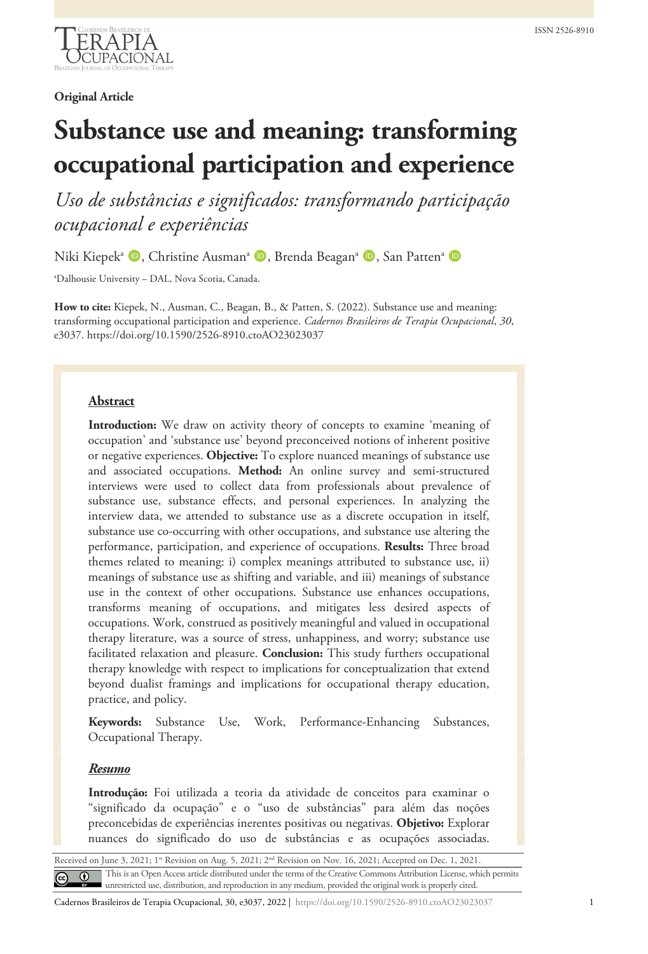

**Original Article**

# **Substance use and meaning: transforming occupational participation and experience**

*Uso de substâncias e significados: transformando participação ocupacional e experiências*

Niki Kiepek<sup>a</sup> (D, Christine Ausman<sup>a</sup> (D, Brenda Beagan<sup>a</sup> (D, San Patten<sup>a</sup> (D

a Dalhousie University – DAL, Nova Scotia, Canada.

**How to cite:** Kiepek, N., Ausman, C., Beagan, B., & Patten, S. (2022). Substance use and meaning: transforming occupational participation and experience. *Cadernos Brasileiros de Terapia Ocupacional*, *30*, e3037. https://doi.org/10.1590/2526-8910.ctoAO23023037

## **Abstract**

**Introduction:** We draw on activity theory of concepts to examine 'meaning of occupation' and 'substance use' beyond preconceived notions of inherent positive or negative experiences. **Objective:** To explore nuanced meanings of substance use and associated occupations. **Method:** An online survey and semi-structured interviews were used to collect data from professionals about prevalence of substance use, substance effects, and personal experiences. In analyzing the interview data, we attended to substance use as a discrete occupation in itself, substance use co-occurring with other occupations, and substance use altering the performance, participation, and experience of occupations. **Results:** Three broad themes related to meaning: i) complex meanings attributed to substance use, ii) meanings of substance use as shifting and variable, and iii) meanings of substance use in the context of other occupations. Substance use enhances occupations, transforms meaning of occupations, and mitigates less desired aspects of occupations. Work, construed as positively meaningful and valued in occupational therapy literature, was a source of stress, unhappiness, and worry; substance use facilitated relaxation and pleasure. **Conclusion:** This study furthers occupational therapy knowledge with respect to implications for conceptualization that extend beyond dualist framings and implications for occupational therapy education, practice, and policy.

**Keywords:** Substance Use, Work, Performance-Enhancing Substances, Occupational Therapy.

#### *Resumo*

**Introdução:** Foi utilizada a teoria da atividade de conceitos para examinar o "significado da ocupação" e o "uso de substâncias" para além das noções preconcebidas de experiências inerentes positivas ou negativas. **Objetivo:** Explorar nuances do significado do uso de substâncias e as ocupações associadas.

Received on June 3, 2021; 1<sup>st</sup> Revision on Aug. 5, 2021; 2<sup>nd</sup> Revision on Nov. 16, 2021; Accepted on Dec. 1, 2021. This is an Open Access article distributed under the terms of the Creative Commons Attribution License, which permits unrestricted use, distribution, and reproduction in any medium, provided the original work is properly cited.

Cadernos Brasileiros de Terapia Ocupacional, 30, e3037, 2022 | https://doi.org/10.1590/2526-8910.ctoAO23023037 1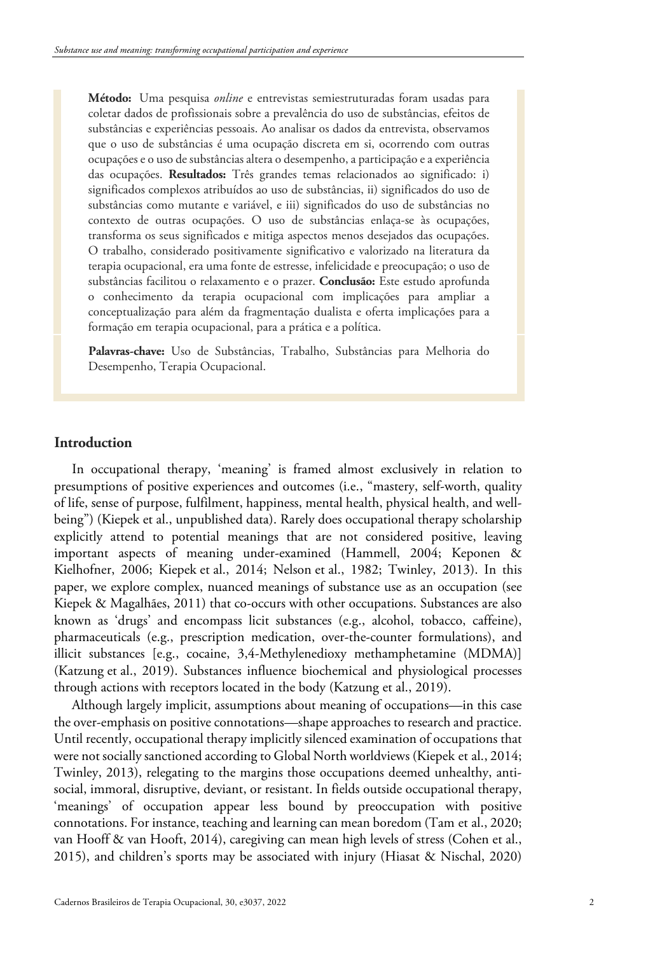**Método:** Uma pesquisa *online* e entrevistas semiestruturadas foram usadas para coletar dados de profissionais sobre a prevalência do uso de substâncias, efeitos de substâncias e experiências pessoais. Ao analisar os dados da entrevista, observamos que o uso de substâncias é uma ocupação discreta em si, ocorrendo com outras ocupações e o uso de substâncias altera o desempenho, a participação e a experiência das ocupações. **Resultados:** Três grandes temas relacionados ao significado: i) significados complexos atribuídos ao uso de substâncias, ii) significados do uso de substâncias como mutante e variável, e iii) significados do uso de substâncias no contexto de outras ocupações. O uso de substâncias enlaça-se às ocupações, transforma os seus significados e mitiga aspectos menos desejados das ocupações. O trabalho, considerado positivamente significativo e valorizado na literatura da terapia ocupacional, era uma fonte de estresse, infelicidade e preocupação; o uso de substâncias facilitou o relaxamento e o prazer. **Conclusão:** Este estudo aprofunda o conhecimento da terapia ocupacional com implicações para ampliar a conceptualização para além da fragmentação dualista e oferta implicações para a formação em terapia ocupacional, para a prática e a política.

**Palavras-chave:** Uso de Substâncias, Trabalho, Substâncias para Melhoria do Desempenho, Terapia Ocupacional.

## **Introduction**

In occupational therapy, 'meaning' is framed almost exclusively in relation to presumptions of positive experiences and outcomes (i.e., "mastery, self-worth, quality of life, sense of purpose, fulfilment, happiness, mental health, physical health, and wellbeing") (Kiepek et al., unpublished data). Rarely does occupational therapy scholarship explicitly attend to potential meanings that are not considered positive, leaving important aspects of meaning under-examined (Hammell, 2004; Keponen & Kielhofner, 2006; Kiepek et al., 2014; Nelson et al., 1982; Twinley, 2013). In this paper, we explore complex, nuanced meanings of substance use as an occupation (see Kiepek & Magalhães, 2011) that co-occurs with other occupations. Substances are also known as 'drugs' and encompass licit substances (e.g., alcohol, tobacco, caffeine), pharmaceuticals (e.g., prescription medication, over-the-counter formulations), and illicit substances [e.g., cocaine, 3,4-Methylenedioxy methamphetamine (MDMA)] (Katzung et al., 2019). Substances influence biochemical and physiological processes through actions with receptors located in the body (Katzung et al., 2019).

Although largely implicit, assumptions about meaning of occupations—in this case the over-emphasis on positive connotations—shape approaches to research and practice. Until recently, occupational therapy implicitly silenced examination of occupations that were not socially sanctioned according to Global North worldviews (Kiepek et al., 2014; Twinley, 2013), relegating to the margins those occupations deemed unhealthy, antisocial, immoral, disruptive, deviant, or resistant. In fields outside occupational therapy, 'meanings' of occupation appear less bound by preoccupation with positive connotations. For instance, teaching and learning can mean boredom (Tam et al., 2020; van Hooff & van Hooft, 2014), caregiving can mean high levels of stress (Cohen et al., 2015), and children's sports may be associated with injury (Hiasat & Nischal, 2020)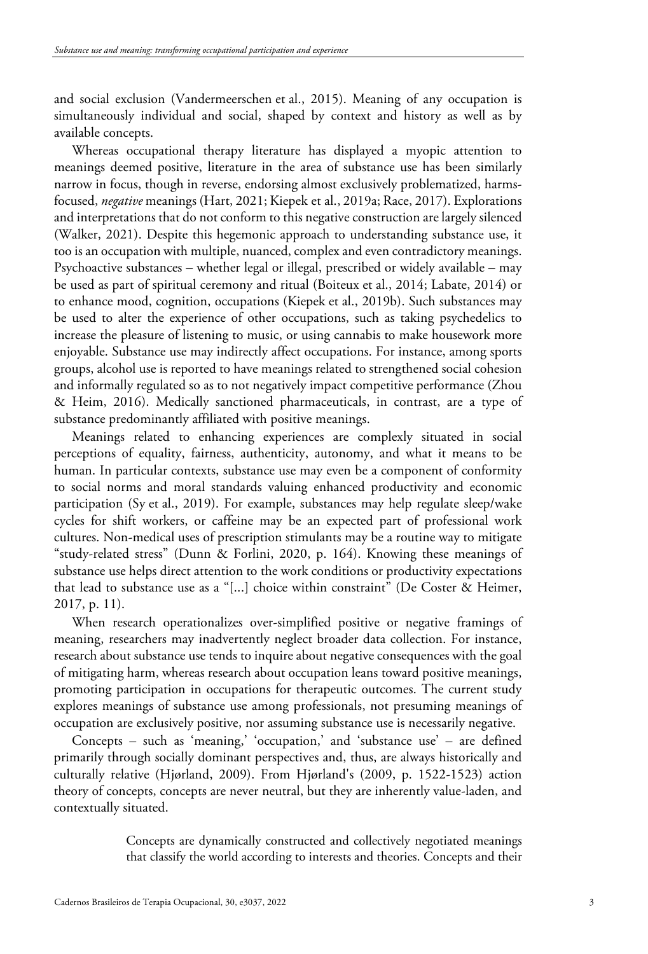and social exclusion (Vandermeerschen et al., 2015). Meaning of any occupation is simultaneously individual and social, shaped by context and history as well as by available concepts.

Whereas occupational therapy literature has displayed a myopic attention to meanings deemed positive, literature in the area of substance use has been similarly narrow in focus, though in reverse, endorsing almost exclusively problematized, harmsfocused, *negative* meanings (Hart, 2021; Kiepek et al., 2019a; Race, 2017). Explorations and interpretations that do not conform to this negative construction are largely silenced (Walker, 2021). Despite this hegemonic approach to understanding substance use, it too is an occupation with multiple, nuanced, complex and even contradictory meanings. Psychoactive substances – whether legal or illegal, prescribed or widely available – may be used as part of spiritual ceremony and ritual (Boiteux et al., 2014; Labate, 2014) or to enhance mood, cognition, occupations (Kiepek et al., 2019b). Such substances may be used to alter the experience of other occupations, such as taking psychedelics to increase the pleasure of listening to music, or using cannabis to make housework more enjoyable. Substance use may indirectly affect occupations. For instance, among sports groups, alcohol use is reported to have meanings related to strengthened social cohesion and informally regulated so as to not negatively impact competitive performance (Zhou & Heim, 2016). Medically sanctioned pharmaceuticals, in contrast, are a type of substance predominantly affiliated with positive meanings.

Meanings related to enhancing experiences are complexly situated in social perceptions of equality, fairness, authenticity, autonomy, and what it means to be human. In particular contexts, substance use may even be a component of conformity to social norms and moral standards valuing enhanced productivity and economic participation (Sy et al., 2019). For example, substances may help regulate sleep/wake cycles for shift workers, or caffeine may be an expected part of professional work cultures. Non-medical uses of prescription stimulants may be a routine way to mitigate "study-related stress" (Dunn & Forlini, 2020, p. 164). Knowing these meanings of substance use helps direct attention to the work conditions or productivity expectations that lead to substance use as a "[...] choice within constraint" (De Coster & Heimer, 2017, p. 11).

When research operationalizes over-simplified positive or negative framings of meaning, researchers may inadvertently neglect broader data collection. For instance, research about substance use tends to inquire about negative consequences with the goal of mitigating harm, whereas research about occupation leans toward positive meanings, promoting participation in occupations for therapeutic outcomes. The current study explores meanings of substance use among professionals, not presuming meanings of occupation are exclusively positive, nor assuming substance use is necessarily negative.

Concepts – such as 'meaning,' 'occupation,' and 'substance use' – are defined primarily through socially dominant perspectives and, thus, are always historically and culturally relative (Hjørland, 2009). From Hjørland's (2009, p. 1522-1523) action theory of concepts, concepts are never neutral, but they are inherently value-laden, and contextually situated.

> Concepts are dynamically constructed and collectively negotiated meanings that classify the world according to interests and theories. Concepts and their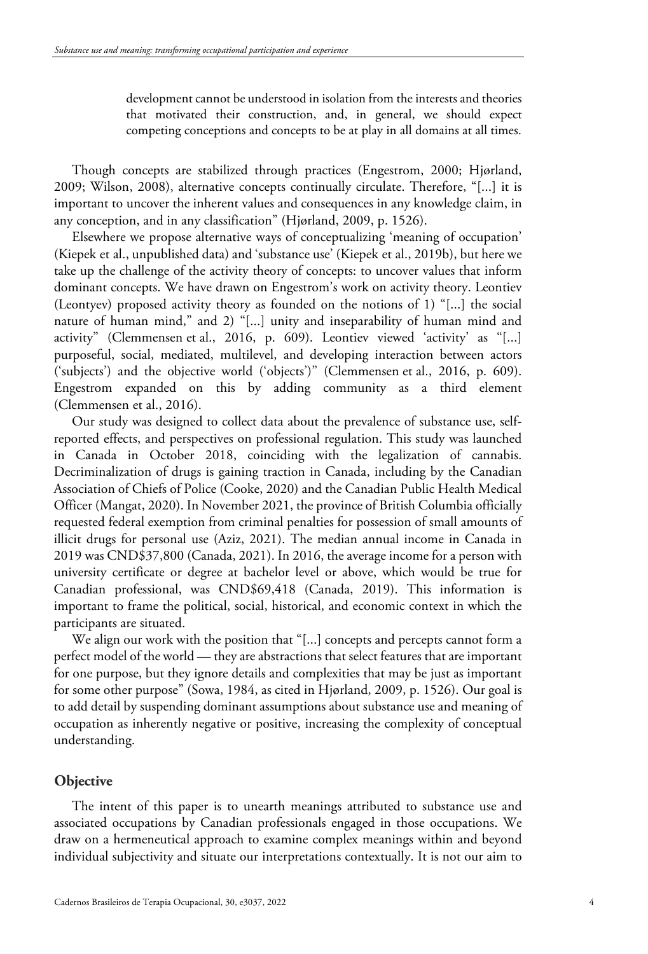development cannot be understood in isolation from the interests and theories that motivated their construction, and, in general, we should expect competing conceptions and concepts to be at play in all domains at all times.

Though concepts are stabilized through practices (Engestrom, 2000; Hjørland, 2009; Wilson, 2008), alternative concepts continually circulate. Therefore, "[...] it is important to uncover the inherent values and consequences in any knowledge claim, in any conception, and in any classification" (Hjørland, 2009, p. 1526).

Elsewhere we propose alternative ways of conceptualizing 'meaning of occupation' (Kiepek et al., unpublished data) and 'substance use' (Kiepek et al., 2019b), but here we take up the challenge of the activity theory of concepts: to uncover values that inform dominant concepts. We have drawn on Engestrom's work on activity theory. Leontiev (Leontyev) proposed activity theory as founded on the notions of 1) "[...] the social nature of human mind," and 2) "[...] unity and inseparability of human mind and activity" (Clemmensen et al., 2016, p. 609). Leontiev viewed 'activity' as "[...] purposeful, social, mediated, multilevel, and developing interaction between actors ('subjects') and the objective world ('objects')" (Clemmensen et al., 2016, p. 609). Engestrom expanded on this by adding community as a third element (Clemmensen et al., 2016).

Our study was designed to collect data about the prevalence of substance use, selfreported effects, and perspectives on professional regulation. This study was launched in Canada in October 2018, coinciding with the legalization of cannabis. Decriminalization of drugs is gaining traction in Canada, including by the Canadian Association of Chiefs of Police (Cooke, 2020) and the Canadian Public Health Medical Officer (Mangat, 2020). In November 2021, the province of British Columbia officially requested federal exemption from criminal penalties for possession of small amounts of illicit drugs for personal use (Aziz, 2021). The median annual income in Canada in 2019 was CND\$37,800 (Canada, 2021). In 2016, the average income for a person with university certificate or degree at bachelor level or above, which would be true for Canadian professional, was CND\$69,418 (Canada, 2019). This information is important to frame the political, social, historical, and economic context in which the participants are situated.

We align our work with the position that "[...] concepts and percepts cannot form a perfect model of the world — they are abstractions that select features that are important for one purpose, but they ignore details and complexities that may be just as important for some other purpose" (Sowa, 1984, as cited in Hjørland, 2009, p. 1526). Our goal is to add detail by suspending dominant assumptions about substance use and meaning of occupation as inherently negative or positive, increasing the complexity of conceptual understanding.

#### **Objective**

The intent of this paper is to unearth meanings attributed to substance use and associated occupations by Canadian professionals engaged in those occupations. We draw on a hermeneutical approach to examine complex meanings within and beyond individual subjectivity and situate our interpretations contextually. It is not our aim to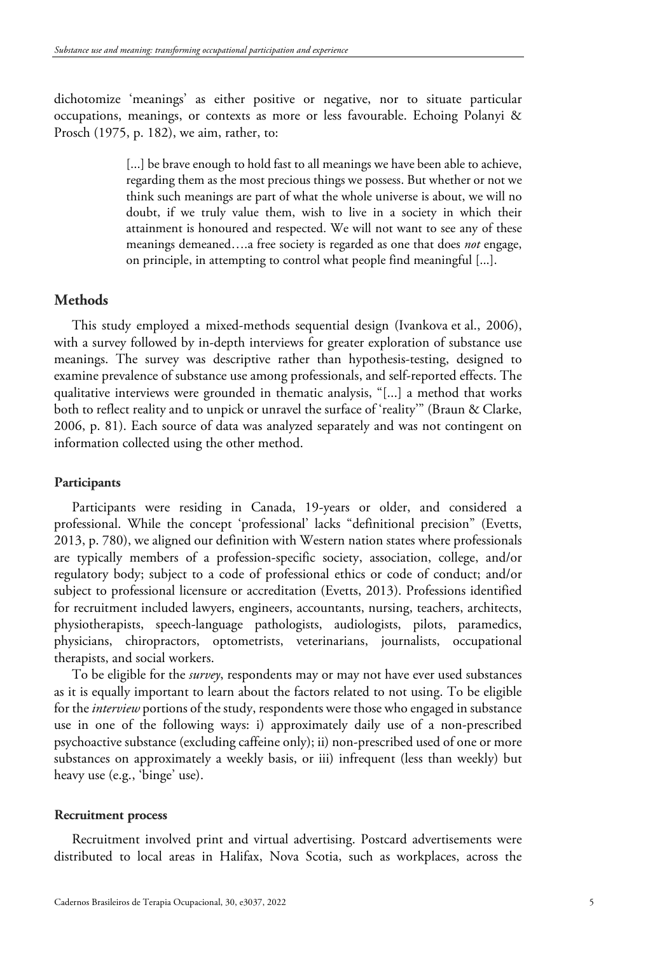dichotomize 'meanings' as either positive or negative, nor to situate particular occupations, meanings, or contexts as more or less favourable. Echoing Polanyi & Prosch (1975, p. 182), we aim, rather, to:

> [...] be brave enough to hold fast to all meanings we have been able to achieve, regarding them as the most precious things we possess. But whether or not we think such meanings are part of what the whole universe is about, we will no doubt, if we truly value them, wish to live in a society in which their attainment is honoured and respected. We will not want to see any of these meanings demeaned….a free society is regarded as one that does *not* engage, on principle, in attempting to control what people find meaningful [...].

## **Methods**

This study employed a mixed-methods sequential design (Ivankova et al., 2006), with a survey followed by in-depth interviews for greater exploration of substance use meanings. The survey was descriptive rather than hypothesis-testing, designed to examine prevalence of substance use among professionals, and self-reported effects. The qualitative interviews were grounded in thematic analysis, "[...] a method that works both to reflect reality and to unpick or unravel the surface of 'reality'" (Braun & Clarke, 2006, p. 81). Each source of data was analyzed separately and was not contingent on information collected using the other method.

#### **Participants**

Participants were residing in Canada, 19-years or older, and considered a professional. While the concept 'professional' lacks "definitional precision" (Evetts, 2013, p. 780), we aligned our definition with Western nation states where professionals are typically members of a profession-specific society, association, college, and/or regulatory body; subject to a code of professional ethics or code of conduct; and/or subject to professional licensure or accreditation (Evetts, 2013). Professions identified for recruitment included lawyers, engineers, accountants, nursing, teachers, architects, physiotherapists, speech-language pathologists, audiologists, pilots, paramedics, physicians, chiropractors, optometrists, veterinarians, journalists, occupational therapists, and social workers.

To be eligible for the *survey*, respondents may or may not have ever used substances as it is equally important to learn about the factors related to not using. To be eligible for the *interview* portions of the study, respondents were those who engaged in substance use in one of the following ways: i) approximately daily use of a non-prescribed psychoactive substance (excluding caffeine only); ii) non-prescribed used of one or more substances on approximately a weekly basis, or iii) infrequent (less than weekly) but heavy use (e.g., 'binge' use).

#### **Recruitment process**

Recruitment involved print and virtual advertising. Postcard advertisements were distributed to local areas in Halifax, Nova Scotia, such as workplaces, across the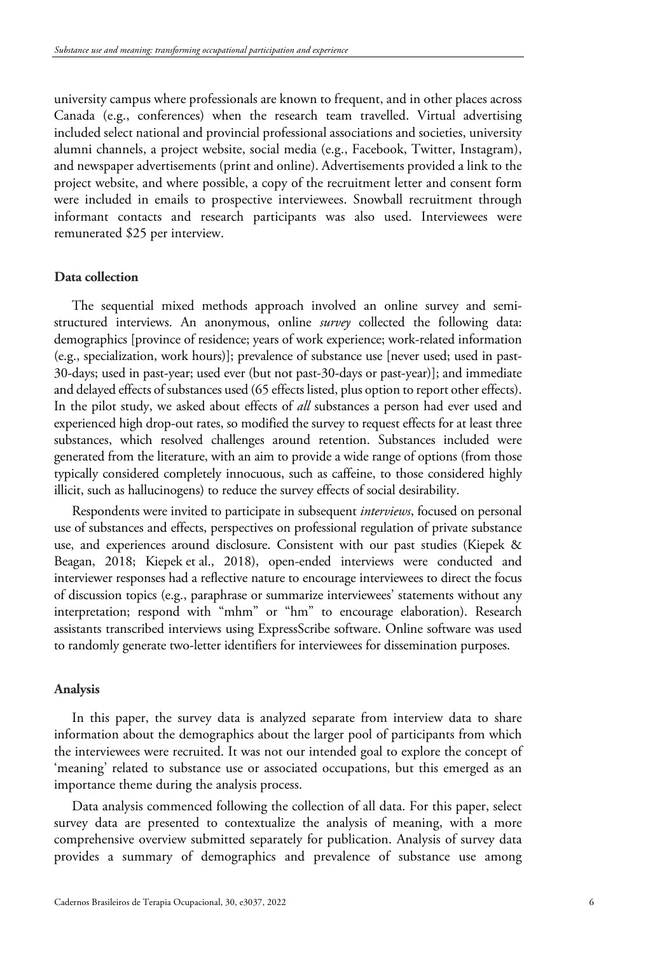university campus where professionals are known to frequent, and in other places across Canada (e.g., conferences) when the research team travelled. Virtual advertising included select national and provincial professional associations and societies, university alumni channels, a project website, social media (e.g., Facebook, Twitter, Instagram), and newspaper advertisements (print and online). Advertisements provided a link to the project website, and where possible, a copy of the recruitment letter and consent form were included in emails to prospective interviewees. Snowball recruitment through informant contacts and research participants was also used. Interviewees were remunerated \$25 per interview.

## **Data collection**

The sequential mixed methods approach involved an online survey and semistructured interviews. An anonymous, online *survey* collected the following data: demographics [province of residence; years of work experience; work-related information (e.g., specialization, work hours)]; prevalence of substance use [never used; used in past-30-days; used in past-year; used ever (but not past-30-days or past-year)]; and immediate and delayed effects of substances used (65 effects listed, plus option to report other effects). In the pilot study, we asked about effects of *all* substances a person had ever used and experienced high drop-out rates, so modified the survey to request effects for at least three substances, which resolved challenges around retention. Substances included were generated from the literature, with an aim to provide a wide range of options (from those typically considered completely innocuous, such as caffeine, to those considered highly illicit, such as hallucinogens) to reduce the survey effects of social desirability.

Respondents were invited to participate in subsequent *interviews*, focused on personal use of substances and effects, perspectives on professional regulation of private substance use, and experiences around disclosure. Consistent with our past studies (Kiepek & Beagan, 2018; Kiepek et al., 2018), open-ended interviews were conducted and interviewer responses had a reflective nature to encourage interviewees to direct the focus of discussion topics (e.g., paraphrase or summarize interviewees' statements without any interpretation; respond with "mhm" or "hm" to encourage elaboration). Research assistants transcribed interviews using ExpressScribe software. Online software was used to randomly generate two-letter identifiers for interviewees for dissemination purposes.

#### **Analysis**

In this paper, the survey data is analyzed separate from interview data to share information about the demographics about the larger pool of participants from which the interviewees were recruited. It was not our intended goal to explore the concept of 'meaning' related to substance use or associated occupations, but this emerged as an importance theme during the analysis process.

Data analysis commenced following the collection of all data. For this paper, select survey data are presented to contextualize the analysis of meaning, with a more comprehensive overview submitted separately for publication. Analysis of survey data provides a summary of demographics and prevalence of substance use among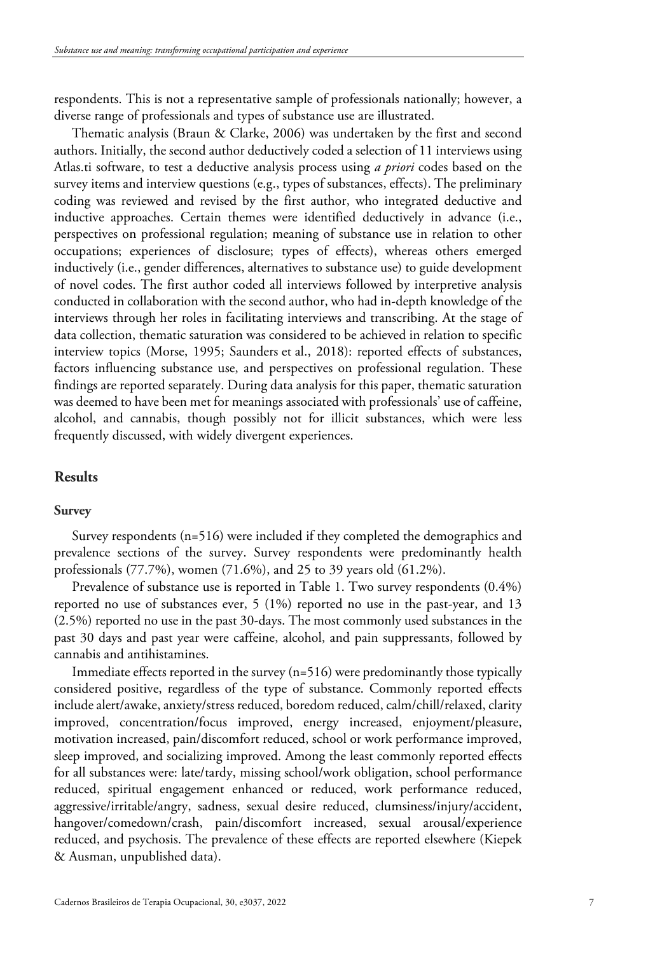respondents. This is not a representative sample of professionals nationally; however, a diverse range of professionals and types of substance use are illustrated.

Thematic analysis (Braun & Clarke, 2006) was undertaken by the first and second authors. Initially, the second author deductively coded a selection of 11 interviews using Atlas.ti software, to test a deductive analysis process using *a priori* codes based on the survey items and interview questions (e.g., types of substances, effects). The preliminary coding was reviewed and revised by the first author, who integrated deductive and inductive approaches. Certain themes were identified deductively in advance (i.e., perspectives on professional regulation; meaning of substance use in relation to other occupations; experiences of disclosure; types of effects), whereas others emerged inductively (i.e., gender differences, alternatives to substance use) to guide development of novel codes. The first author coded all interviews followed by interpretive analysis conducted in collaboration with the second author, who had in-depth knowledge of the interviews through her roles in facilitating interviews and transcribing. At the stage of data collection, thematic saturation was considered to be achieved in relation to specific interview topics (Morse, 1995; Saunders et al., 2018): reported effects of substances, factors influencing substance use, and perspectives on professional regulation. These findings are reported separately. During data analysis for this paper, thematic saturation was deemed to have been met for meanings associated with professionals' use of caffeine, alcohol, and cannabis, though possibly not for illicit substances, which were less frequently discussed, with widely divergent experiences.

## **Results**

#### **Survey**

Survey respondents (n=516) were included if they completed the demographics and prevalence sections of the survey. Survey respondents were predominantly health professionals (77.7%), women (71.6%), and 25 to 39 years old (61.2%).

Prevalence of substance use is reported in Table 1. Two survey respondents (0.4%) reported no use of substances ever, 5 (1%) reported no use in the past-year, and 13 (2.5%) reported no use in the past 30-days. The most commonly used substances in the past 30 days and past year were caffeine, alcohol, and pain suppressants, followed by cannabis and antihistamines.

Immediate effects reported in the survey (n=516) were predominantly those typically considered positive, regardless of the type of substance. Commonly reported effects include alert/awake, anxiety/stress reduced, boredom reduced, calm/chill/relaxed, clarity improved, concentration/focus improved, energy increased, enjoyment/pleasure, motivation increased, pain/discomfort reduced, school or work performance improved, sleep improved, and socializing improved. Among the least commonly reported effects for all substances were: late/tardy, missing school/work obligation, school performance reduced, spiritual engagement enhanced or reduced, work performance reduced, aggressive/irritable/angry, sadness, sexual desire reduced, clumsiness/injury/accident, hangover/comedown/crash, pain/discomfort increased, sexual arousal/experience reduced, and psychosis. The prevalence of these effects are reported elsewhere (Kiepek & Ausman, unpublished data).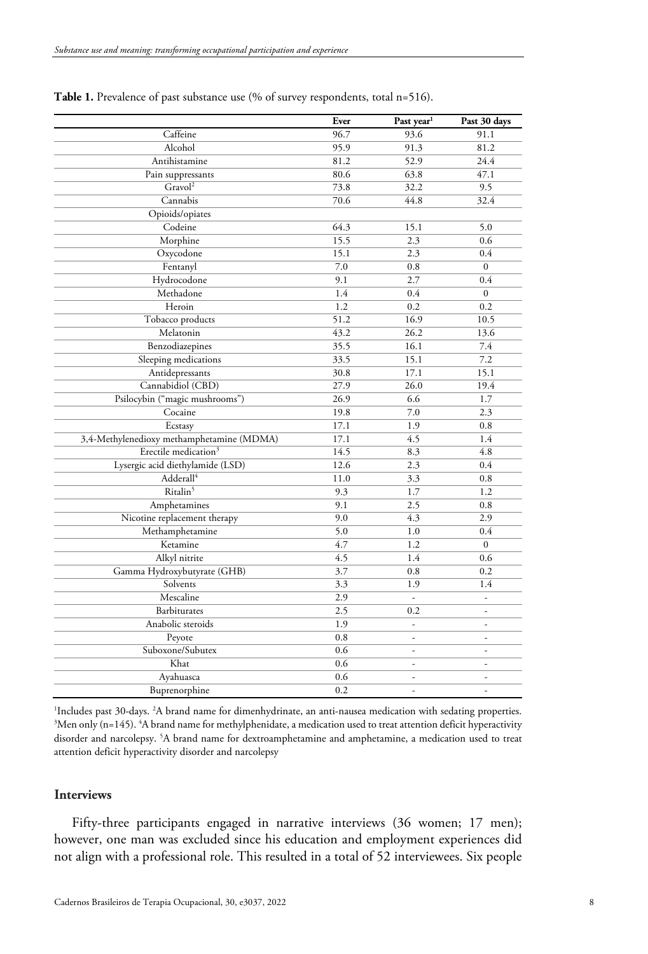|                                           | Ever | Past year <sup>1</sup> | Past 30 days             |
|-------------------------------------------|------|------------------------|--------------------------|
| Caffeine                                  | 96.7 | 93.6                   | 91.1                     |
| Alcohol                                   | 95.9 | 91.3                   | 81.2                     |
| Antihistamine                             | 81.2 | 52.9                   | 24.4                     |
| Pain suppressants                         | 80.6 | 63.8                   | 47.1                     |
| Gravol <sup>2</sup>                       | 73.8 | 32.2                   | 9.5                      |
| Cannabis                                  | 70.6 | 44.8                   | 32.4                     |
| Opioids/opiates                           |      |                        |                          |
| Codeine                                   | 64.3 | 15.1                   | 5.0                      |
| Morphine                                  | 15.5 | 2.3                    | 0.6                      |
| Oxycodone                                 | 15.1 | 2.3                    | 0.4                      |
| Fentanyl                                  | 7.0  | 0.8                    | $\mathbf{0}$             |
| Hydrocodone                               | 9.1  | 2.7                    | 0.4                      |
| Methadone                                 | 1.4  | 0.4                    | $\boldsymbol{0}$         |
| Heroin                                    | 1.2  | 0.2                    | 0.2                      |
| Tobacco products                          | 51.2 | 16.9                   | 10.5                     |
| Melatonin                                 | 43.2 | 26.2                   | 13.6                     |
| Benzodiazepines                           | 35.5 | 16.1                   | 7.4                      |
| Sleeping medications                      | 33.5 | 15.1                   | 7.2                      |
| Antidepressants                           | 30.8 | 17.1                   | 15.1                     |
| Cannabidiol (CBD)                         | 27.9 | 26.0                   | 19.4                     |
| Psilocybin ("magic mushrooms")            | 26.9 | 6.6                    | 1.7                      |
| Cocaine                                   | 19.8 | 7.0                    | 2.3                      |
| Ecstasy                                   | 17.1 | 1.9                    | 0.8                      |
| 3,4-Methylenedioxy methamphetamine (MDMA) | 17.1 | 4.5                    | 1.4                      |
| Erectile medication <sup>3</sup>          | 14.5 | 8.3                    | 4.8                      |
| Lysergic acid diethylamide (LSD)          | 12.6 | 2.3                    | 0.4                      |
| Adderall <sup>4</sup>                     | 11.0 | 3.3                    | 0.8                      |
| Ritalin <sup>5</sup>                      | 9.3  | 1.7                    | 1.2                      |
| Amphetamines                              | 9.1  | 2.5                    | 0.8                      |
| Nicotine replacement therapy              | 9.0  | 4.3                    | 2.9                      |
| Methamphetamine                           | 5.0  | 1.0                    | 0.4                      |
| Ketamine                                  | 4.7  | 1.2                    | $\overline{0}$           |
| Alkyl nitrite                             | 4.5  | 1.4                    | 0.6                      |
| Gamma Hydroxybutyrate (GHB)               | 3.7  | 0.8                    | 0.2                      |
| Solvents                                  | 3.3  | 1.9                    | 1.4                      |
| Mescaline                                 | 2.9  | $\overline{a}$         | $\frac{1}{2}$            |
| <b>Barbiturates</b>                       | 2.5  | 0.2                    | $\overline{\phantom{a}}$ |
| Anabolic steroids                         | 1.9  | $\frac{1}{2}$          | $\frac{1}{2}$            |
| Peyote                                    | 0.8  | ÷,                     | $\overline{a}$           |
| Suboxone/Subutex                          | 0.6  | L                      | $\overline{a}$           |
| Khat                                      | 0.6  | ÷                      | $\overline{\phantom{a}}$ |
| Ayahuasca                                 | 0.6  | $\overline{a}$         | $\overline{a}$           |
| Buprenorphine                             | 0.2  | L                      | L.                       |

Table 1. Prevalence of past substance use (% of survey respondents, total n=516).

<sup>1</sup>Includes past 30-days. <sup>2</sup>A brand name for dimenhydrinate, an anti-nausea medication with sedating properties.<br><sup>3</sup>Men only (n–145), <sup>4</sup>A brand name for methylphenidate, a medication used to treat attention deficit hyper Men only (n=145). 4 A brand name for methylphenidate, a medication used to treat attention deficit hyperactivity disorder and narcolepsy. 5 A brand name for dextroamphetamine and amphetamine, a medication used to treat attention deficit hyperactivity disorder and narcolepsy

## **Interviews**

Fifty-three participants engaged in narrative interviews (36 women; 17 men); however, one man was excluded since his education and employment experiences did not align with a professional role. This resulted in a total of 52 interviewees. Six people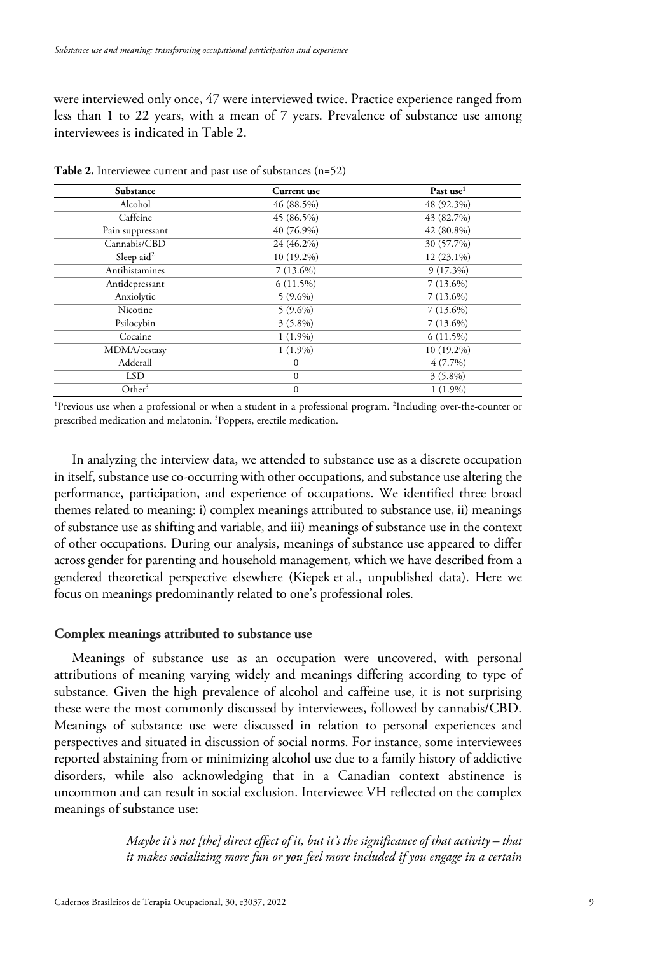were interviewed only once, 47 were interviewed twice. Practice experience ranged from less than 1 to 22 years, with a mean of 7 years. Prevalence of substance use among interviewees is indicated in Table 2.

| Substance              | Current use  | Past use <sup>1</sup> |
|------------------------|--------------|-----------------------|
| Alcohol                | 46 (88.5%)   | 48 (92.3%)            |
| Caffeine               | $45(86.5\%)$ | 43 (82.7%)            |
| Pain suppressant       | 40 (76.9%)   | $42(80.8\%)$          |
| Cannabis/CBD           | 24 (46.2%)   | 30 (57.7%)            |
| Sleep aid <sup>2</sup> | 10 (19.2%)   | $12(23.1\%)$          |
| Antihistamines         | $7(13.6\%)$  | $9(17.3\%)$           |
| Antidepressant         | $6(11.5\%)$  | $7(13.6\%)$           |
| Anxiolytic             | $5(9.6\%)$   | $7(13.6\%)$           |
| Nicotine               | $5(9.6\%)$   | $7(13.6\%)$           |
| Psilocybin             | $3(5.8\%)$   | $7(13.6\%)$           |
| Cocaine                | $1(1.9\%)$   | $6(11.5\%)$           |
| MDMA/ecstasy           | $1(1.9\%)$   | $10(19.2\%)$          |
| Adderall               | $\mathbf{0}$ | $4(7.7\%)$            |
| <b>LSD</b>             | $\Omega$     | $3(5.8\%)$            |
| Other <sup>3</sup>     | $\theta$     | $1(1.9\%)$            |

**Table 2.** Interviewee current and past use of substances (n=52)

1 Previous use when a professional or when a student in a professional program. 2 Including over-the-counter or prescribed medication and melatonin. 3 Poppers, erectile medication.

In analyzing the interview data, we attended to substance use as a discrete occupation in itself, substance use co-occurring with other occupations, and substance use altering the performance, participation, and experience of occupations. We identified three broad themes related to meaning: i) complex meanings attributed to substance use, ii) meanings of substance use as shifting and variable, and iii) meanings of substance use in the context of other occupations. During our analysis, meanings of substance use appeared to differ across gender for parenting and household management, which we have described from a gendered theoretical perspective elsewhere (Kiepek et al., unpublished data). Here we focus on meanings predominantly related to one's professional roles.

## **Complex meanings attributed to substance use**

Meanings of substance use as an occupation were uncovered, with personal attributions of meaning varying widely and meanings differing according to type of substance. Given the high prevalence of alcohol and caffeine use, it is not surprising these were the most commonly discussed by interviewees, followed by cannabis/CBD. Meanings of substance use were discussed in relation to personal experiences and perspectives and situated in discussion of social norms. For instance, some interviewees reported abstaining from or minimizing alcohol use due to a family history of addictive disorders, while also acknowledging that in a Canadian context abstinence is uncommon and can result in social exclusion. Interviewee VH reflected on the complex meanings of substance use:

> *Maybe it's not [the] direct effect of it, but it's the significance of that activity – that it makes socializing more fun or you feel more included if you engage in a certain*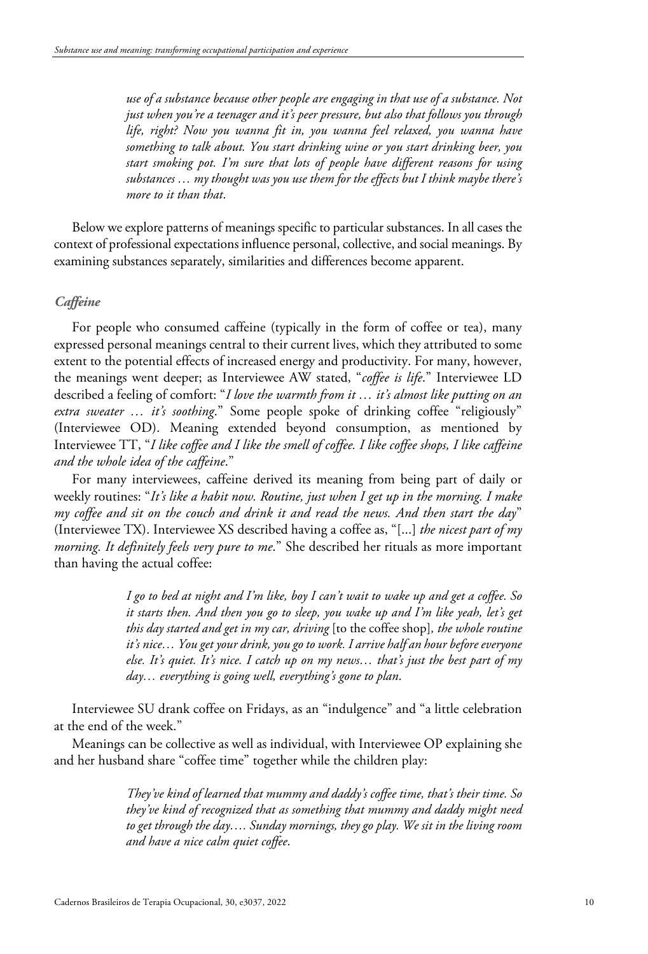*use of a substance because other people are engaging in that use of a substance. Not just when you're a teenager and it's peer pressure, but also that follows you through life, right? Now you wanna fit in, you wanna feel relaxed, you wanna have something to talk about. You start drinking wine or you start drinking beer, you start smoking pot. I'm sure that lots of people have different reasons for using substances … my thought was you use them for the effects but I think maybe there's more to it than that*.

Below we explore patterns of meanings specific to particular substances. In all cases the context of professional expectations influence personal, collective, and social meanings. By examining substances separately, similarities and differences become apparent.

## *Caffeine*

For people who consumed caffeine (typically in the form of coffee or tea), many expressed personal meanings central to their current lives, which they attributed to some extent to the potential effects of increased energy and productivity. For many, however, the meanings went deeper; as Interviewee AW stated, "*coffee is life*." Interviewee LD described a feeling of comfort: "*I love the warmth from it … it's almost like putting on an extra sweater … it's soothing*." Some people spoke of drinking coffee "religiously" (Interviewee OD). Meaning extended beyond consumption, as mentioned by Interviewee TT, "*I like coffee and I like the smell of coffee. I like coffee shops, I like caffeine and the whole idea of the caffeine*."

For many interviewees, caffeine derived its meaning from being part of daily or weekly routines: "*It's like a habit now. Routine, just when I get up in the morning. I make my coffee and sit on the couch and drink it and read the news. And then start the day*" (Interviewee TX). Interviewee XS described having a coffee as, "[...] *the nicest part of my morning. It definitely feels very pure to me*." She described her rituals as more important than having the actual coffee:

> *I go to bed at night and I'm like, boy I can't wait to wake up and get a coffee. So it starts then. And then you go to sleep, you wake up and I'm like yeah, let's get this day started and get in my car, driving* [to the coffee shop]*, the whole routine it's nice… You get your drink, you go to work. I arrive half an hour before everyone else. It's quiet. It's nice. I catch up on my news… that's just the best part of my day… everything is going well, everything's gone to plan*.

Interviewee SU drank coffee on Fridays, as an "indulgence" and "a little celebration at the end of the week."

Meanings can be collective as well as individual, with Interviewee OP explaining she and her husband share "coffee time" together while the children play:

> *They've kind of learned that mummy and daddy's coffee time, that's their time. So they've kind of recognized that as something that mummy and daddy might need to get through the day…. Sunday mornings, they go play. We sit in the living room and have a nice calm quiet coffee*.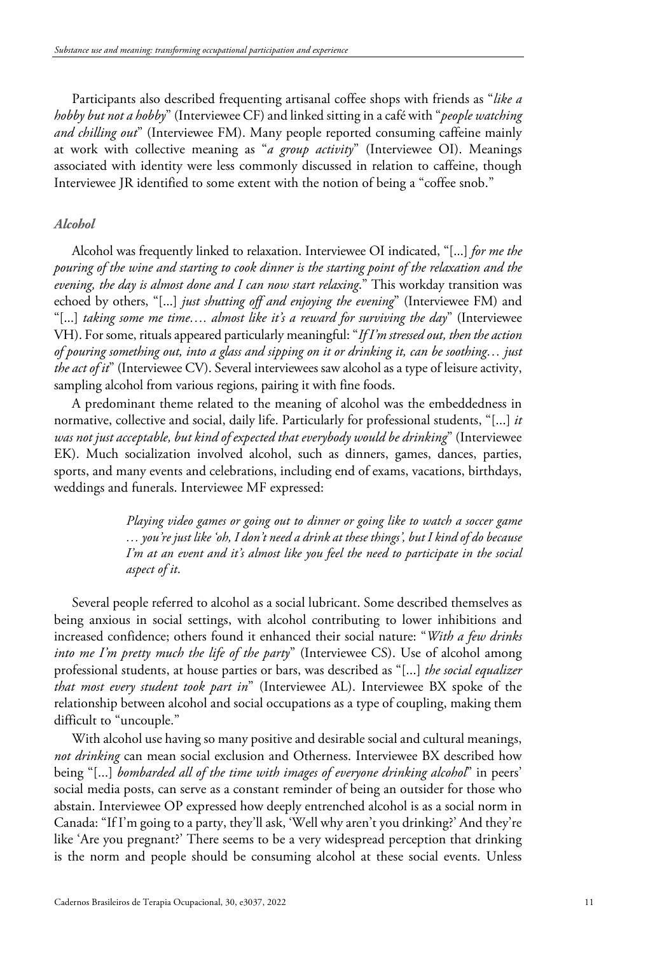Participants also described frequenting artisanal coffee shops with friends as "*like a hobby but not a hobby*" (Interviewee CF) and linked sitting in a café with "*people watching and chilling out*" (Interviewee FM). Many people reported consuming caffeine mainly at work with collective meaning as "*a group activity*" (Interviewee OI). Meanings associated with identity were less commonly discussed in relation to caffeine, though Interviewee JR identified to some extent with the notion of being a "coffee snob."

## *Alcohol*

Alcohol was frequently linked to relaxation. Interviewee OI indicated, "[...] *for me the pouring of the wine and starting to cook dinner is the starting point of the relaxation and the evening, the day is almost done and I can now start relaxing*." This workday transition was echoed by others, "[...] *just shutting off and enjoying the evening*" (Interviewee FM) and "[...] *taking some me time…. almost like it's a reward for surviving the day*" (Interviewee VH). For some, rituals appeared particularly meaningful: "*If I'm stressed out, then the action of pouring something out, into a glass and sipping on it or drinking it, can be soothing… just the act of it*" (Interviewee CV). Several interviewees saw alcohol as a type of leisure activity, sampling alcohol from various regions, pairing it with fine foods.

A predominant theme related to the meaning of alcohol was the embeddedness in normative, collective and social, daily life. Particularly for professional students, "[...] *it was not just acceptable, but kind of expected that everybody would be drinking*" (Interviewee EK). Much socialization involved alcohol, such as dinners, games, dances, parties, sports, and many events and celebrations, including end of exams, vacations, birthdays, weddings and funerals. Interviewee MF expressed:

> *Playing video games or going out to dinner or going like to watch a soccer game … you're just like 'oh, I don't need a drink at these things', but I kind of do because I'm at an event and it's almost like you feel the need to participate in the social aspect of it*.

Several people referred to alcohol as a social lubricant. Some described themselves as being anxious in social settings, with alcohol contributing to lower inhibitions and increased confidence; others found it enhanced their social nature: "*With a few drinks into me I'm pretty much the life of the party*" (Interviewee CS). Use of alcohol among professional students, at house parties or bars, was described as "[...] *the social equalizer that most every student took part in*" (Interviewee AL). Interviewee BX spoke of the relationship between alcohol and social occupations as a type of coupling, making them difficult to "uncouple."

With alcohol use having so many positive and desirable social and cultural meanings, *not drinking* can mean social exclusion and Otherness. Interviewee BX described how being "[...] *bombarded all of the time with images of everyone drinking alcohol*" in peers' social media posts, can serve as a constant reminder of being an outsider for those who abstain. Interviewee OP expressed how deeply entrenched alcohol is as a social norm in Canada: "If I'm going to a party, they'll ask, 'Well why aren't you drinking?' And they're like 'Are you pregnant?' There seems to be a very widespread perception that drinking is the norm and people should be consuming alcohol at these social events. Unless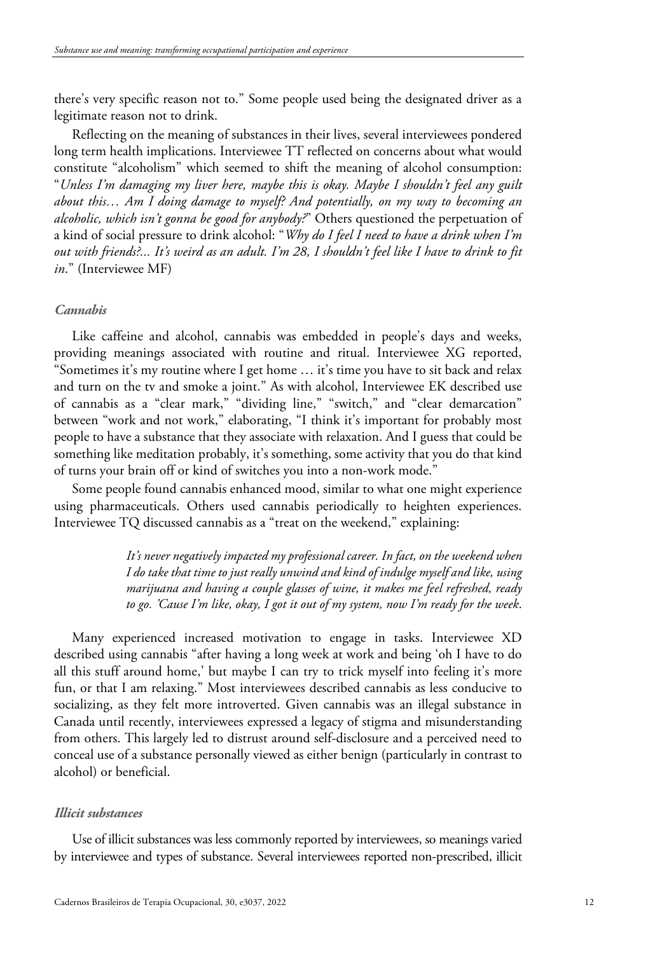there's very specific reason not to." Some people used being the designated driver as a legitimate reason not to drink.

Reflecting on the meaning of substances in their lives, several interviewees pondered long term health implications. Interviewee TT reflected on concerns about what would constitute "alcoholism" which seemed to shift the meaning of alcohol consumption: "*Unless I'm damaging my liver here, maybe this is okay. Maybe I shouldn't feel any guilt about this… Am I doing damage to myself? And potentially, on my way to becoming an alcoholic, which isn't gonna be good for anybody?*" Others questioned the perpetuation of a kind of social pressure to drink alcohol: "*Why do I feel I need to have a drink when I'm out with friends?... It's weird as an adult. I'm 28, I shouldn't feel like I have to drink to fit in*." (Interviewee MF)

## *Cannabis*

Like caffeine and alcohol, cannabis was embedded in people's days and weeks, providing meanings associated with routine and ritual. Interviewee XG reported, "Sometimes it's my routine where I get home … it's time you have to sit back and relax and turn on the tv and smoke a joint." As with alcohol, Interviewee EK described use of cannabis as a "clear mark," "dividing line," "switch," and "clear demarcation" between "work and not work," elaborating, "I think it's important for probably most people to have a substance that they associate with relaxation. And I guess that could be something like meditation probably, it's something, some activity that you do that kind of turns your brain off or kind of switches you into a non-work mode."

Some people found cannabis enhanced mood, similar to what one might experience using pharmaceuticals. Others used cannabis periodically to heighten experiences. Interviewee TQ discussed cannabis as a "treat on the weekend," explaining:

> *It's never negatively impacted my professional career. In fact, on the weekend when I do take that time to just really unwind and kind of indulge myself and like, using marijuana and having a couple glasses of wine, it makes me feel refreshed, ready to go. 'Cause I'm like, okay, I got it out of my system, now I'm ready for the week*.

Many experienced increased motivation to engage in tasks. Interviewee XD described using cannabis "after having a long week at work and being 'oh I have to do all this stuff around home,' but maybe I can try to trick myself into feeling it's more fun, or that I am relaxing." Most interviewees described cannabis as less conducive to socializing, as they felt more introverted. Given cannabis was an illegal substance in Canada until recently, interviewees expressed a legacy of stigma and misunderstanding from others. This largely led to distrust around self-disclosure and a perceived need to conceal use of a substance personally viewed as either benign (particularly in contrast to alcohol) or beneficial.

#### *Illicit substances*

Use of illicit substances was less commonly reported by interviewees, so meanings varied by interviewee and types of substance. Several interviewees reported non-prescribed, illicit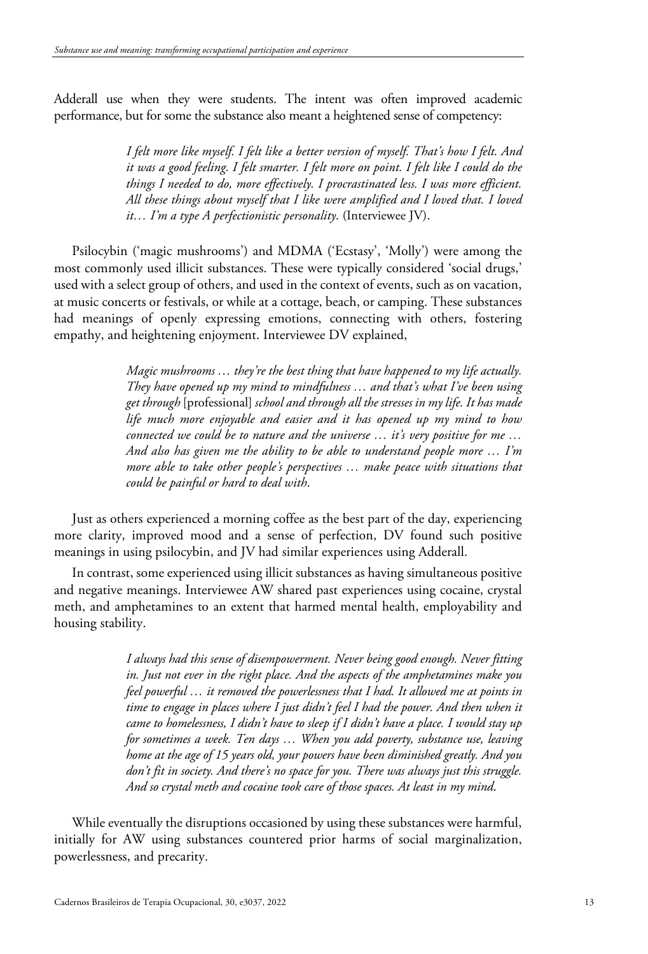Adderall use when they were students. The intent was often improved academic performance, but for some the substance also meant a heightened sense of competency:

> *I felt more like myself. I felt like a better version of myself. That's how I felt. And it was a good feeling. I felt smarter. I felt more on point. I felt like I could do the things I needed to do, more effectively. I procrastinated less. I was more efficient. All these things about myself that I like were amplified and I loved that. I loved it… I'm a type A perfectionistic personality*. (Interviewee JV).

Psilocybin ('magic mushrooms') and MDMA ('Ecstasy', 'Molly') were among the most commonly used illicit substances. These were typically considered 'social drugs,' used with a select group of others, and used in the context of events, such as on vacation, at music concerts or festivals, or while at a cottage, beach, or camping. These substances had meanings of openly expressing emotions, connecting with others, fostering empathy, and heightening enjoyment. Interviewee DV explained,

> *Magic mushrooms … they're the best thing that have happened to my life actually. They have opened up my mind to mindfulness … and that's what I've been using get through* [professional] *school and through all the stresses in my life. It has made life much more enjoyable and easier and it has opened up my mind to how connected we could be to nature and the universe … it's very positive for me … And also has given me the ability to be able to understand people more … I'm more able to take other people's perspectives … make peace with situations that could be painful or hard to deal with*.

Just as others experienced a morning coffee as the best part of the day, experiencing more clarity, improved mood and a sense of perfection, DV found such positive meanings in using psilocybin, and JV had similar experiences using Adderall.

In contrast, some experienced using illicit substances as having simultaneous positive and negative meanings. Interviewee AW shared past experiences using cocaine, crystal meth, and amphetamines to an extent that harmed mental health, employability and housing stability.

> *I always had this sense of disempowerment. Never being good enough. Never fitting in. Just not ever in the right place. And the aspects of the amphetamines make you feel powerful … it removed the powerlessness that I had. It allowed me at points in time to engage in places where I just didn't feel I had the power. And then when it came to homelessness, I didn't have to sleep if I didn't have a place. I would stay up for sometimes a week. Ten days … When you add poverty, substance use, leaving home at the age of 15 years old, your powers have been diminished greatly. And you don't fit in society. And there's no space for you. There was always just this struggle. And so crystal meth and cocaine took care of those spaces. At least in my mind*.

While eventually the disruptions occasioned by using these substances were harmful, initially for AW using substances countered prior harms of social marginalization, powerlessness, and precarity.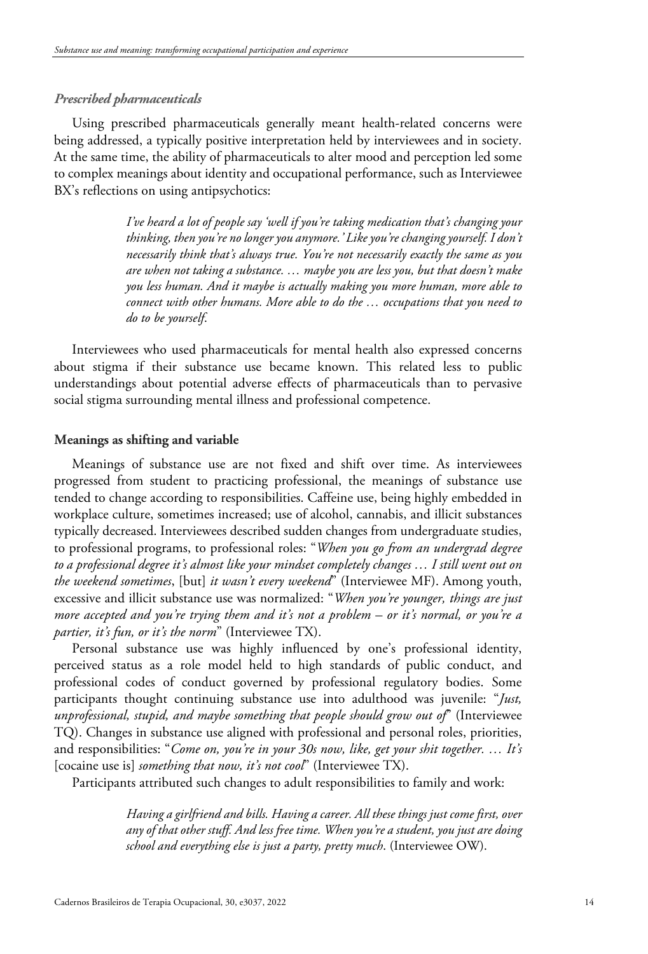## *Prescribed pharmaceuticals*

Using prescribed pharmaceuticals generally meant health-related concerns were being addressed, a typically positive interpretation held by interviewees and in society. At the same time, the ability of pharmaceuticals to alter mood and perception led some to complex meanings about identity and occupational performance, such as Interviewee BX's reflections on using antipsychotics:

> *I've heard a lot of people say 'well if you're taking medication that's changing your thinking, then you're no longer you anymore.' Like you're changing yourself. I don't necessarily think that's always true. You're not necessarily exactly the same as you are when not taking a substance. … maybe you are less you, but that doesn't make you less human. And it maybe is actually making you more human, more able to connect with other humans. More able to do the … occupations that you need to do to be yourself*.

Interviewees who used pharmaceuticals for mental health also expressed concerns about stigma if their substance use became known. This related less to public understandings about potential adverse effects of pharmaceuticals than to pervasive social stigma surrounding mental illness and professional competence.

## **Meanings as shifting and variable**

Meanings of substance use are not fixed and shift over time. As interviewees progressed from student to practicing professional, the meanings of substance use tended to change according to responsibilities. Caffeine use, being highly embedded in workplace culture, sometimes increased; use of alcohol, cannabis, and illicit substances typically decreased. Interviewees described sudden changes from undergraduate studies, to professional programs, to professional roles: "*When you go from an undergrad degree to a professional degree it's almost like your mindset completely changes … I still went out on the weekend sometimes*, [but] *it wasn't every weekend*" (Interviewee MF). Among youth, excessive and illicit substance use was normalized: "*When you're younger, things are just more accepted and you're trying them and it's not a problem – or it's normal, or you're a partier, it's fun, or it's the norm*" (Interviewee TX).

Personal substance use was highly influenced by one's professional identity, perceived status as a role model held to high standards of public conduct, and professional codes of conduct governed by professional regulatory bodies. Some participants thought continuing substance use into adulthood was juvenile: "*Just, unprofessional, stupid, and maybe something that people should grow out of*" (Interviewee TQ). Changes in substance use aligned with professional and personal roles, priorities, and responsibilities: "*Come on, you're in your 30s now, like, get your shit together. … It's* [cocaine use is] *something that now, it's not cool*" (Interviewee TX).

Participants attributed such changes to adult responsibilities to family and work:

*Having a girlfriend and bills. Having a career. All these things just come first, over any of that other stuff. And less free time. When you're a student, you just are doing school and everything else is just a party, pretty much*. (Interviewee OW).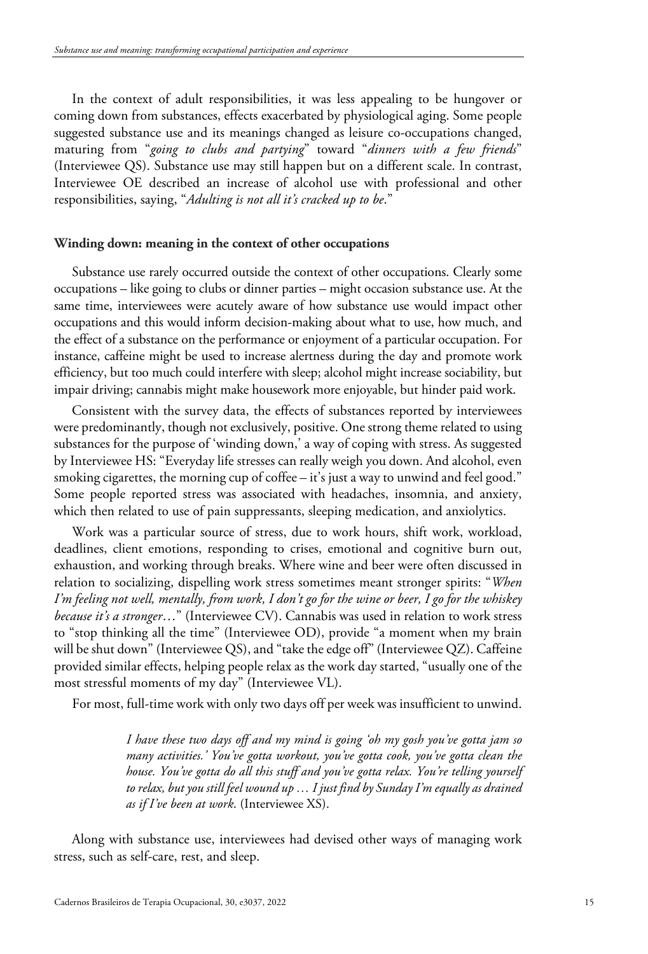In the context of adult responsibilities, it was less appealing to be hungover or coming down from substances, effects exacerbated by physiological aging. Some people suggested substance use and its meanings changed as leisure co-occupations changed, maturing from "*going to clubs and partying*" toward "*dinners with a few friends*" (Interviewee QS). Substance use may still happen but on a different scale. In contrast, Interviewee OE described an increase of alcohol use with professional and other responsibilities, saying, "*Adulting is not all it's cracked up to be*."

#### **Winding down: meaning in the context of other occupations**

Substance use rarely occurred outside the context of other occupations. Clearly some occupations – like going to clubs or dinner parties – might occasion substance use. At the same time, interviewees were acutely aware of how substance use would impact other occupations and this would inform decision-making about what to use, how much, and the effect of a substance on the performance or enjoyment of a particular occupation. For instance, caffeine might be used to increase alertness during the day and promote work efficiency, but too much could interfere with sleep; alcohol might increase sociability, but impair driving; cannabis might make housework more enjoyable, but hinder paid work.

Consistent with the survey data, the effects of substances reported by interviewees were predominantly, though not exclusively, positive. One strong theme related to using substances for the purpose of 'winding down,' a way of coping with stress. As suggested by Interviewee HS: "Everyday life stresses can really weigh you down. And alcohol, even smoking cigarettes, the morning cup of coffee – it's just a way to unwind and feel good." Some people reported stress was associated with headaches, insomnia, and anxiety, which then related to use of pain suppressants, sleeping medication, and anxiolytics.

Work was a particular source of stress, due to work hours, shift work, workload, deadlines, client emotions, responding to crises, emotional and cognitive burn out, exhaustion, and working through breaks. Where wine and beer were often discussed in relation to socializing, dispelling work stress sometimes meant stronger spirits: "*When I'm feeling not well, mentally, from work, I don't go for the wine or beer, I go for the whiskey because it's a stronger*…" (Interviewee CV). Cannabis was used in relation to work stress to "stop thinking all the time" (Interviewee OD), provide "a moment when my brain will be shut down" (Interviewee QS), and "take the edge off" (Interviewee QZ). Caffeine provided similar effects, helping people relax as the work day started, "usually one of the most stressful moments of my day" (Interviewee VL).

For most, full-time work with only two days off per week was insufficient to unwind.

*I have these two days off and my mind is going 'oh my gosh you've gotta jam so many activities.' You've gotta workout, you've gotta cook, you've gotta clean the house. You've gotta do all this stuff and you've gotta relax. You're telling yourself to relax, but you still feel wound up … I just find by Sunday I'm equally as drained as if I've been at work*. (Interviewee XS).

Along with substance use, interviewees had devised other ways of managing work stress, such as self-care, rest, and sleep.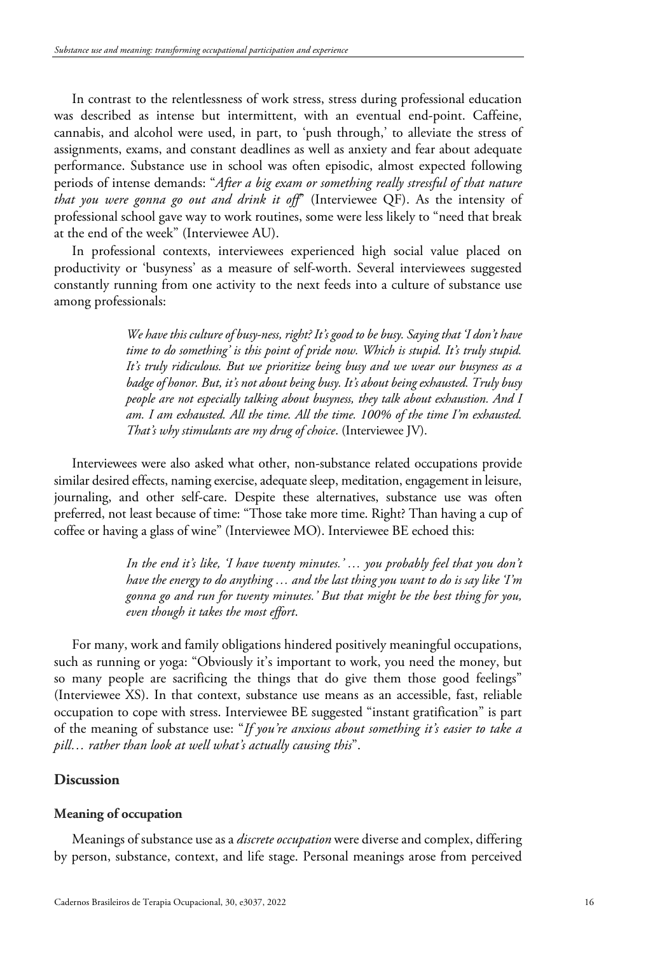In contrast to the relentlessness of work stress, stress during professional education was described as intense but intermittent, with an eventual end-point. Caffeine, cannabis, and alcohol were used, in part, to 'push through,' to alleviate the stress of assignments, exams, and constant deadlines as well as anxiety and fear about adequate performance. Substance use in school was often episodic, almost expected following periods of intense demands: "*After a big exam or something really stressful of that nature that you were gonna go out and drink it off*" (Interviewee QF). As the intensity of professional school gave way to work routines, some were less likely to "need that break at the end of the week" (Interviewee AU).

In professional contexts, interviewees experienced high social value placed on productivity or 'busyness' as a measure of self-worth. Several interviewees suggested constantly running from one activity to the next feeds into a culture of substance use among professionals:

> *We have this culture of busy-ness, right? It's good to be busy. Saying that 'I don't have time to do something' is this point of pride now. Which is stupid. It's truly stupid. It's truly ridiculous. But we prioritize being busy and we wear our busyness as a badge of honor. But, it's not about being busy. It's about being exhausted. Truly busy people are not especially talking about busyness, they talk about exhaustion. And I am. I am exhausted. All the time. All the time. 100% of the time I'm exhausted. That's why stimulants are my drug of choice*. (Interviewee JV).

Interviewees were also asked what other, non-substance related occupations provide similar desired effects, naming exercise, adequate sleep, meditation, engagement in leisure, journaling, and other self-care. Despite these alternatives, substance use was often preferred, not least because of time: "Those take more time. Right? Than having a cup of coffee or having a glass of wine" (Interviewee MO). Interviewee BE echoed this:

> *In the end it's like, 'I have twenty minutes.' … you probably feel that you don't have the energy to do anything … and the last thing you want to do is say like 'I'm gonna go and run for twenty minutes.' But that might be the best thing for you, even though it takes the most effort*.

For many, work and family obligations hindered positively meaningful occupations, such as running or yoga: "Obviously it's important to work, you need the money, but so many people are sacrificing the things that do give them those good feelings" (Interviewee XS). In that context, substance use means as an accessible, fast, reliable occupation to cope with stress. Interviewee BE suggested "instant gratification" is part of the meaning of substance use: "*If you're anxious about something it's easier to take a pill… rather than look at well what's actually causing this*".

## **Discussion**

## **Meaning of occupation**

Meanings of substance use as a *discrete occupation* were diverse and complex, differing by person, substance, context, and life stage. Personal meanings arose from perceived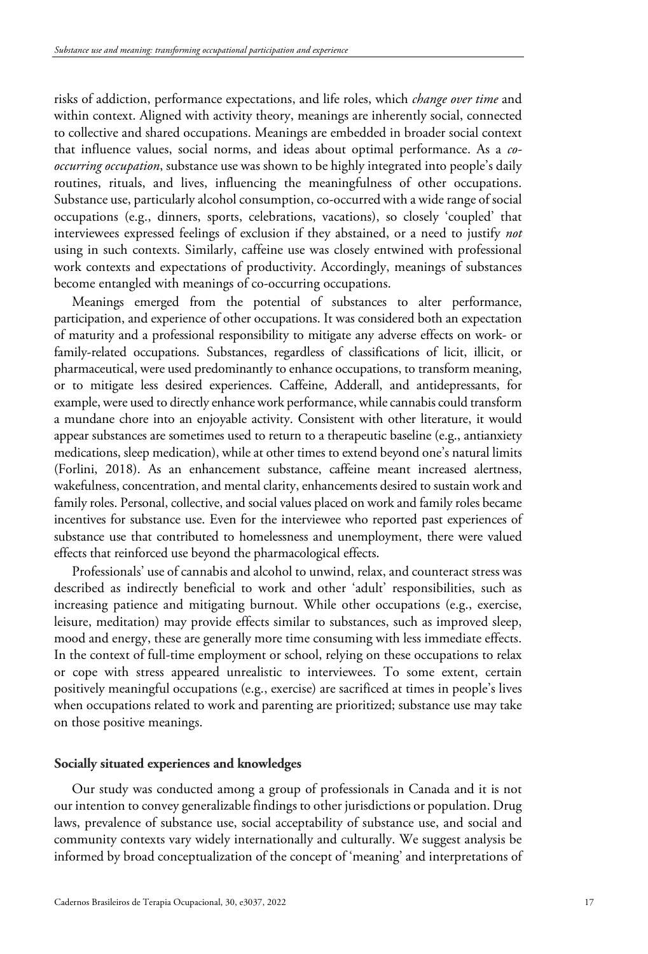risks of addiction, performance expectations, and life roles, which *change over time* and within context. Aligned with activity theory, meanings are inherently social, connected to collective and shared occupations. Meanings are embedded in broader social context that influence values, social norms, and ideas about optimal performance. As a *cooccurring occupation*, substance use was shown to be highly integrated into people's daily routines, rituals, and lives, influencing the meaningfulness of other occupations. Substance use, particularly alcohol consumption, co-occurred with a wide range of social occupations (e.g., dinners, sports, celebrations, vacations), so closely 'coupled' that interviewees expressed feelings of exclusion if they abstained, or a need to justify *not* using in such contexts. Similarly, caffeine use was closely entwined with professional work contexts and expectations of productivity. Accordingly, meanings of substances become entangled with meanings of co-occurring occupations.

Meanings emerged from the potential of substances to alter performance, participation, and experience of other occupations. It was considered both an expectation of maturity and a professional responsibility to mitigate any adverse effects on work- or family-related occupations. Substances, regardless of classifications of licit, illicit, or pharmaceutical, were used predominantly to enhance occupations, to transform meaning, or to mitigate less desired experiences. Caffeine, Adderall, and antidepressants, for example, were used to directly enhance work performance, while cannabis could transform a mundane chore into an enjoyable activity. Consistent with other literature, it would appear substances are sometimes used to return to a therapeutic baseline (e.g., antianxiety medications, sleep medication), while at other times to extend beyond one's natural limits (Forlini, 2018). As an enhancement substance, caffeine meant increased alertness, wakefulness, concentration, and mental clarity, enhancements desired to sustain work and family roles. Personal, collective, and social values placed on work and family roles became incentives for substance use. Even for the interviewee who reported past experiences of substance use that contributed to homelessness and unemployment, there were valued effects that reinforced use beyond the pharmacological effects.

Professionals' use of cannabis and alcohol to unwind, relax, and counteract stress was described as indirectly beneficial to work and other 'adult' responsibilities, such as increasing patience and mitigating burnout. While other occupations (e.g., exercise, leisure, meditation) may provide effects similar to substances, such as improved sleep, mood and energy, these are generally more time consuming with less immediate effects. In the context of full-time employment or school, relying on these occupations to relax or cope with stress appeared unrealistic to interviewees. To some extent, certain positively meaningful occupations (e.g., exercise) are sacrificed at times in people's lives when occupations related to work and parenting are prioritized; substance use may take on those positive meanings.

#### **Socially situated experiences and knowledges**

Our study was conducted among a group of professionals in Canada and it is not our intention to convey generalizable findings to other jurisdictions or population. Drug laws, prevalence of substance use, social acceptability of substance use, and social and community contexts vary widely internationally and culturally. We suggest analysis be informed by broad conceptualization of the concept of 'meaning' and interpretations of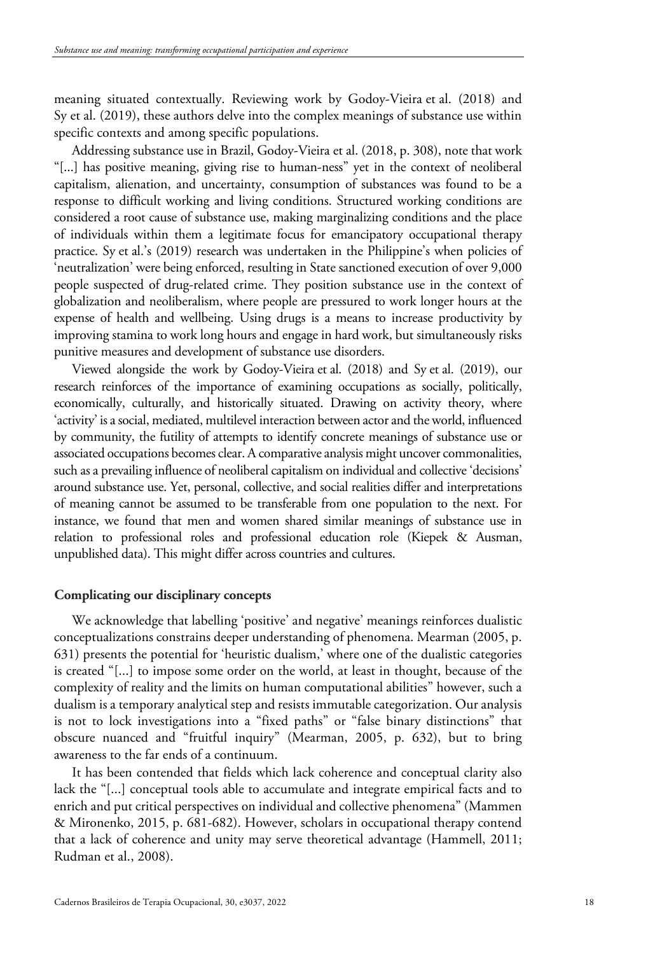meaning situated contextually. Reviewing work by Godoy-Vieira et al. (2018) and Sy et al. (2019), these authors delve into the complex meanings of substance use within specific contexts and among specific populations.

Addressing substance use in Brazil, Godoy-Vieira et al. (2018, p. 308), note that work "[...] has positive meaning, giving rise to human-ness" yet in the context of neoliberal capitalism, alienation, and uncertainty, consumption of substances was found to be a response to difficult working and living conditions. Structured working conditions are considered a root cause of substance use, making marginalizing conditions and the place of individuals within them a legitimate focus for emancipatory occupational therapy practice. Sy et al.'s (2019) research was undertaken in the Philippine's when policies of 'neutralization' were being enforced, resulting in State sanctioned execution of over 9,000 people suspected of drug-related crime. They position substance use in the context of globalization and neoliberalism, where people are pressured to work longer hours at the expense of health and wellbeing. Using drugs is a means to increase productivity by improving stamina to work long hours and engage in hard work, but simultaneously risks punitive measures and development of substance use disorders.

Viewed alongside the work by Godoy-Vieira et al. (2018) and Sy et al. (2019), our research reinforces of the importance of examining occupations as socially, politically, economically, culturally, and historically situated. Drawing on activity theory, where 'activity' is a social, mediated, multilevel interaction between actor and the world, influenced by community, the futility of attempts to identify concrete meanings of substance use or associated occupations becomes clear. A comparative analysis might uncover commonalities, such as a prevailing influence of neoliberal capitalism on individual and collective 'decisions' around substance use. Yet, personal, collective, and social realities differ and interpretations of meaning cannot be assumed to be transferable from one population to the next. For instance, we found that men and women shared similar meanings of substance use in relation to professional roles and professional education role (Kiepek & Ausman, unpublished data). This might differ across countries and cultures.

#### **Complicating our disciplinary concepts**

We acknowledge that labelling 'positive' and negative' meanings reinforces dualistic conceptualizations constrains deeper understanding of phenomena. Mearman (2005, p. 631) presents the potential for 'heuristic dualism,' where one of the dualistic categories is created "[...] to impose some order on the world, at least in thought, because of the complexity of reality and the limits on human computational abilities" however, such a dualism is a temporary analytical step and resists immutable categorization. Our analysis is not to lock investigations into a "fixed paths" or "false binary distinctions" that obscure nuanced and "fruitful inquiry" (Mearman, 2005, p. 632), but to bring awareness to the far ends of a continuum.

It has been contended that fields which lack coherence and conceptual clarity also lack the "[...] conceptual tools able to accumulate and integrate empirical facts and to enrich and put critical perspectives on individual and collective phenomena" (Mammen & Mironenko, 2015, p. 681-682). However, scholars in occupational therapy contend that a lack of coherence and unity may serve theoretical advantage (Hammell, 2011; Rudman et al., 2008).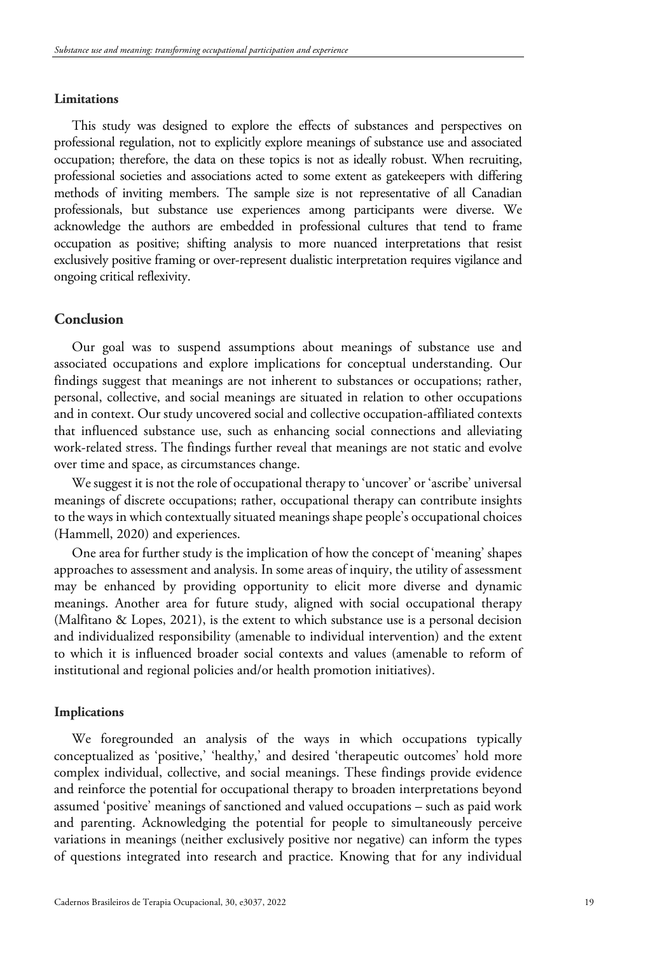#### **Limitations**

This study was designed to explore the effects of substances and perspectives on professional regulation, not to explicitly explore meanings of substance use and associated occupation; therefore, the data on these topics is not as ideally robust. When recruiting, professional societies and associations acted to some extent as gatekeepers with differing methods of inviting members. The sample size is not representative of all Canadian professionals, but substance use experiences among participants were diverse. We acknowledge the authors are embedded in professional cultures that tend to frame occupation as positive; shifting analysis to more nuanced interpretations that resist exclusively positive framing or over-represent dualistic interpretation requires vigilance and ongoing critical reflexivity.

## **Conclusion**

Our goal was to suspend assumptions about meanings of substance use and associated occupations and explore implications for conceptual understanding. Our findings suggest that meanings are not inherent to substances or occupations; rather, personal, collective, and social meanings are situated in relation to other occupations and in context. Our study uncovered social and collective occupation-affiliated contexts that influenced substance use, such as enhancing social connections and alleviating work-related stress. The findings further reveal that meanings are not static and evolve over time and space, as circumstances change.

We suggest it is not the role of occupational therapy to 'uncover' or 'ascribe' universal meanings of discrete occupations; rather, occupational therapy can contribute insights to the ways in which contextually situated meanings shape people's occupational choices (Hammell, 2020) and experiences.

One area for further study is the implication of how the concept of 'meaning' shapes approaches to assessment and analysis. In some areas of inquiry, the utility of assessment may be enhanced by providing opportunity to elicit more diverse and dynamic meanings. Another area for future study, aligned with social occupational therapy (Malfitano & Lopes, 2021), is the extent to which substance use is a personal decision and individualized responsibility (amenable to individual intervention) and the extent to which it is influenced broader social contexts and values (amenable to reform of institutional and regional policies and/or health promotion initiatives).

#### **Implications**

We foregrounded an analysis of the ways in which occupations typically conceptualized as 'positive,' 'healthy,' and desired 'therapeutic outcomes' hold more complex individual, collective, and social meanings. These findings provide evidence and reinforce the potential for occupational therapy to broaden interpretations beyond assumed 'positive' meanings of sanctioned and valued occupations – such as paid work and parenting. Acknowledging the potential for people to simultaneously perceive variations in meanings (neither exclusively positive nor negative) can inform the types of questions integrated into research and practice. Knowing that for any individual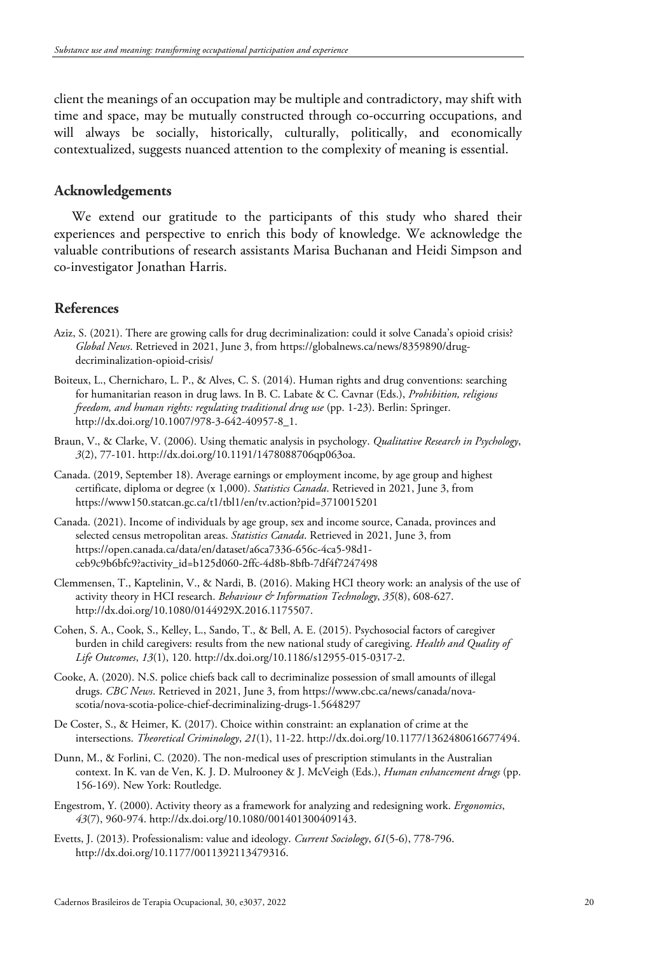client the meanings of an occupation may be multiple and contradictory, may shift with time and space, may be mutually constructed through co-occurring occupations, and will always be socially, historically, culturally, politically, and economically contextualized, suggests nuanced attention to the complexity of meaning is essential.

## **Acknowledgements**

We extend our gratitude to the participants of this study who shared their experiences and perspective to enrich this body of knowledge. We acknowledge the valuable contributions of research assistants Marisa Buchanan and Heidi Simpson and co-investigator Jonathan Harris.

## **References**

- Aziz, S. (2021). There are growing calls for drug decriminalization: could it solve Canada's opioid crisis? *Global News*. Retrieved in 2021, June 3, from https://globalnews.ca/news/8359890/drugdecriminalization-opioid-crisis/
- Boiteux, L., Chernicharo, L. P., & Alves, C. S. (2014). Human rights and drug conventions: searching for humanitarian reason in drug laws. In B. C. Labate & C. Cavnar (Eds.), *Prohibition, religious freedom, and human rights: regulating traditional drug use* (pp. 1-23). Berlin: Springer. [http://dx.doi.org/10.1007/978-3-642-40957-8\\_1.](https://doi.org/10.1007/978-3-642-40957-8_1)
- Braun, V., & Clarke, V. (2006). Using thematic analysis in psychology. *Qualitative Research in Psychology*, *3*(2), 77-101[. http://dx.doi.org/10.1191/1478088706qp063oa.](https://doi.org/10.1191/1478088706qp063oa)
- Canada. (2019, September 18). Average earnings or employment income, by age group and highest certificate, diploma or degree (x 1,000). *Statistics Canada*. Retrieved in 2021, June 3, from https://www150.statcan.gc.ca/t1/tbl1/en/tv.action?pid=3710015201
- Canada. (2021). Income of individuals by age group, sex and income source, Canada, provinces and selected census metropolitan areas. *Statistics Canada*. Retrieved in 2021, June 3, from https://open.canada.ca/data/en/dataset/a6ca7336-656c-4ca5-98d1 ceb9c9b6bfc9?activity\_id=b125d060-2ffc-4d8b-8bfb-7df4f7247498
- Clemmensen, T., Kaptelinin, V., & Nardi, B. (2016). Making HCI theory work: an analysis of the use of activity theory in HCI research. *Behaviour & Information Technology*, *35*(8), 608-627. [http://dx.doi.org/10.1080/0144929X.2016.1175507.](https://doi.org/10.1080/0144929X.2016.1175507)
- Cohen, S. A., Cook, S., Kelley, L., Sando, T., & Bell, A. E. (2015). Psychosocial factors of caregiver burden in child caregivers: results from the new national study of caregiving. *Health and Quality of Life Outcomes*, *13*(1), 120. [http://dx.doi.org/10.1186/s12955-015-0317-2.](https://doi.org/10.1186/s12955-015-0317-2)
- Cooke, A. (2020). N.S. police chiefs back call to decriminalize possession of small amounts of illegal drugs. *CBC News*. Retrieved in 2021, June 3, from https://www.cbc.ca/news/canada/novascotia/nova-scotia-police-chief-decriminalizing-drugs-1.5648297
- De Coster, S., & Heimer, K. (2017). Choice within constraint: an explanation of crime at the intersections. *Theoretical Criminology*, *21*(1), 11-22. [http://dx.doi.org/10.1177/1362480616677494.](https://doi.org/10.1177/1362480616677494)
- Dunn, M., & Forlini, C. (2020). The non-medical uses of prescription stimulants in the Australian context. In K. van de Ven, K. J. D. Mulrooney & J. McVeigh (Eds.), *Human enhancement drugs* (pp. 156-169). New York: Routledge.
- Engestrom, Y. (2000). Activity theory as a framework for analyzing and redesigning work. *Ergonomics*, *43*(7), 960-974[. http://dx.doi.org/10.1080/001401300409143.](https://doi.org/10.1080/001401300409143)
- Evetts, J. (2013). Professionalism: value and ideology. *Current Sociology*, *61*(5-6), 778-796. [http://dx.doi.org/10.1177/0011392113479316.](https://doi.org/10.1177/0011392113479316)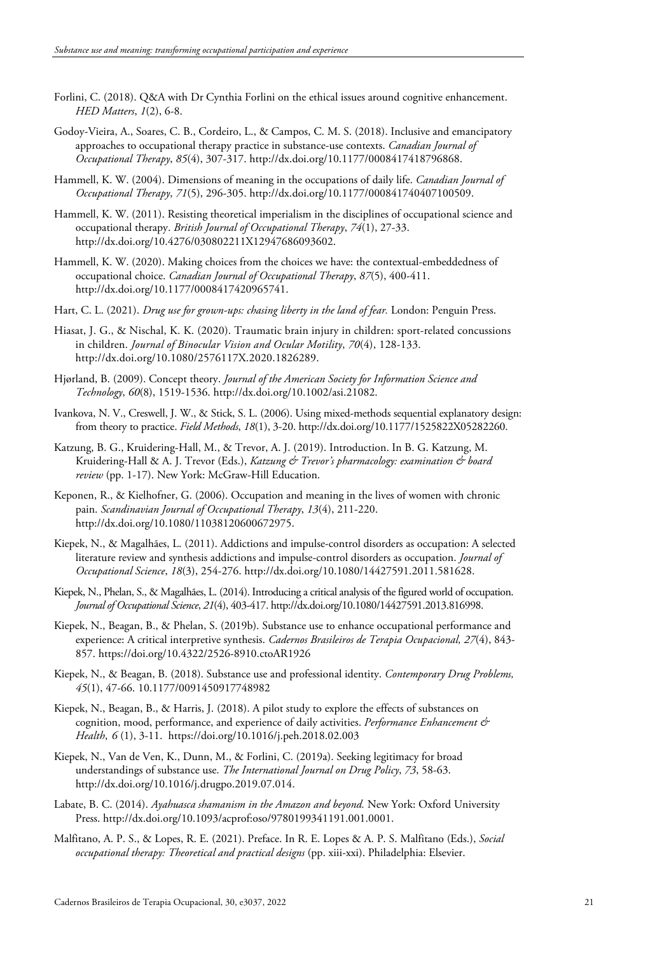- Forlini, C. (2018). Q&A with Dr Cynthia Forlini on the ethical issues around cognitive enhancement. *HED Matters*, *1*(2), 6-8.
- Godoy-Vieira, A., Soares, C. B., Cordeiro, L., & Campos, C. M. S. (2018). Inclusive and emancipatory approaches to occupational therapy practice in substance-use contexts. *Canadian Journal of Occupational Therapy*, *85*(4), 307-317[. http://dx.doi.org/10.1177/0008417418796868.](https://doi.org/10.1177/0008417418796868)
- Hammell, K. W. (2004). Dimensions of meaning in the occupations of daily life. *Canadian Journal of Occupational Therapy*, *71*(5), 296-305[. http://dx.doi.org/10.1177/000841740407100509.](https://doi.org/10.1177/000841740407100509)
- Hammell, K. W. (2011). Resisting theoretical imperialism in the disciplines of occupational science and occupational therapy. *British Journal of Occupational Therapy*, *74*(1), 27-33. [http://dx.doi.org/10.4276/030802211X12947686093602.](https://doi.org/10.4276/030802211X12947686093602)
- Hammell, K. W. (2020). Making choices from the choices we have: the contextual-embeddedness of occupational choice. *Canadian Journal of Occupational Therapy*, *87*(5), 400-411. [http://dx.doi.org/10.1177/0008417420965741.](https://doi.org/10.1177/0008417420965741)
- Hart, C. L. (2021). *Drug use for grown-ups: chasing liberty in the land of fear.* London: Penguin Press.
- Hiasat, J. G., & Nischal, K. K. (2020). Traumatic brain injury in children: sport-related concussions in children. *Journal of Binocular Vision and Ocular Motility*, *70*(4), 128-133. [http://dx.doi.org/10.1080/2576117X.2020.1826289.](https://doi.org/10.1080/2576117X.2020.1826289)
- Hjørland, B. (2009). Concept theory. *Journal of the American Society for Information Science and Technology*, *60*(8), 1519-1536. [http://dx.doi.org/10.1002/asi.21082.](https://doi.org/10.1002/asi.21082)
- Ivankova, N. V., Creswell, J. W., & Stick, S. L. (2006). Using mixed-methods sequential explanatory design: from theory to practice. *Field Methods*, *18*(1), 3-20[. http://dx.doi.org/10.1177/1525822X05282260.](https://doi.org/10.1177/1525822X05282260)
- Katzung, B. G., Kruidering-Hall, M., & Trevor, A. J. (2019). Introduction. In B. G. Katzung, M. Kruidering-Hall & A. J. Trevor (Eds.), *Katzung & Trevor's pharmacology: examination & board review* (pp. 1-17). New York: McGraw-Hill Education.
- Keponen, R., & Kielhofner, G. (2006). Occupation and meaning in the lives of women with chronic pain. *Scandinavian Journal of Occupational Therapy*, *13*(4), 211-220. [http://dx.doi.org/10.1080/11038120600672975.](https://doi.org/10.1080/11038120600672975)
- Kiepek, N., & Magalhães, L. (2011). Addictions and impulse-control disorders as occupation: A selected literature review and synthesis addictions and impulse-control disorders as occupation. *Journal of Occupational Science*, *18*(3), 254-276[. http://dx.doi.org/10.1080/14427591.2011.581628.](https://doi.org/10.1080/14427591.2011.581628)
- Kiepek, N., Phelan, S., & Magalhães, L. (2014). Introducing a critical analysis of the figured world of occupation. *Journal of Occupational Science*, *21*(4), 403-417[. http://dx.doi.org/10.1080/14427591.2013.816998.](https://doi.org/10.1080/14427591.2013.816998)
- Kiepek, N., Beagan, B., & Phelan, S. (2019b). Substance use to enhance occupational performance and experience: A critical interpretive synthesis. *Cadernos Brasileiros de Terapia Ocupacional, 27*(4), 843- 857. https://doi.org/10.4322/2526-8910.ctoAR1926
- Kiepek, N., & Beagan, B. (2018). Substance use and professional identity. *Contemporary Drug Problems, 45*(1), 47-66. 10.1177/0091450917748982
- Kiepek, N., Beagan, B., & Harris, J. (2018). A pilot study to explore the effects of substances on cognition, mood, performance, and experience of daily activities. *Performance Enhancement & Health*, *6* (1), 3-11. https://doi.org/10.1016/j.peh.2018.02.003
- Kiepek, N., Van de Ven, K., Dunn, M., & Forlini, C. (2019a). Seeking legitimacy for broad understandings of substance use. *The International Journal on Drug Policy*, *73*, 58-63. [http://dx.doi.org/10.1016/j.drugpo.2019.07.014.](https://doi.org/10.1016/j.drugpo.2019.07.014)
- Labate, B. C. (2014). *Ayahuasca shamanism in the Amazon and beyond.* New York: Oxford University Press. [http://dx.doi.org/10.1093/acprof:oso/9780199341191.001.0001.](https://doi.org/10.1093/acprof:oso/9780199341191.001.0001)
- Malfitano, A. P. S., & Lopes, R. E. (2021). Preface. In R. E. Lopes & A. P. S. Malfitano (Eds.), *Social occupational therapy: Theoretical and practical designs* (pp. xiii-xxi). Philadelphia: Elsevier.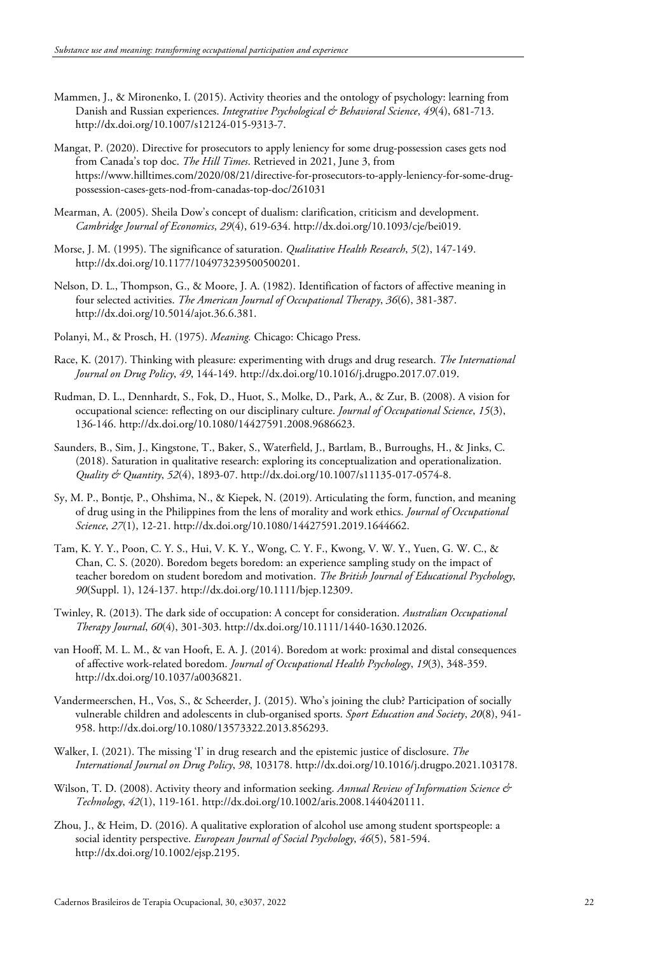- Mammen, J., & Mironenko, I. (2015). Activity theories and the ontology of psychology: learning from Danish and Russian experiences. *Integrative Psychological & Behavioral Science*, *49*(4), 681-713. [http://dx.doi.org/10.1007/s12124-015-9313-7.](https://doi.org/10.1007/s12124-015-9313-7)
- Mangat, P. (2020). Directive for prosecutors to apply leniency for some drug-possession cases gets nod from Canada's top doc. *The Hill Times*. Retrieved in 2021, June 3, from https://www.hilltimes.com/2020/08/21/directive-for-prosecutors-to-apply-leniency-for-some-drugpossession-cases-gets-nod-from-canadas-top-doc/261031
- Mearman, A. (2005). Sheila Dow's concept of dualism: clarification, criticism and development. *Cambridge Journal of Economics*, *29*(4), 619-634. [http://dx.doi.org/10.1093/cje/bei019.](https://doi.org/10.1093/cje/bei019)
- Morse, J. M. (1995). The significance of saturation. *Qualitative Health Research*, *5*(2), 147-149. [http://dx.doi.org/10.1177/104973239500500201.](https://doi.org/10.1177/104973239500500201)
- Nelson, D. L., Thompson, G., & Moore, J. A. (1982). Identification of factors of affective meaning in four selected activities. *The American Journal of Occupational Therapy*, *36*(6), 381-387. [http://dx.doi.org/10.5014/ajot.36.6.381.](https://doi.org/10.5014/ajot.36.6.381)
- Polanyi, M., & Prosch, H. (1975). *Meaning.* Chicago: Chicago Press.
- Race, K. (2017). Thinking with pleasure: experimenting with drugs and drug research. *The International Journal on Drug Policy*, *49*, 144-149. [http://dx.doi.org/10.1016/j.drugpo.2017.07.019.](https://doi.org/10.1016/j.drugpo.2017.07.019)
- Rudman, D. L., Dennhardt, S., Fok, D., Huot, S., Molke, D., Park, A., & Zur, B. (2008). A vision for occupational science: reflecting on our disciplinary culture. *Journal of Occupational Science*, *15*(3), 136-146. [http://dx.doi.org/10.1080/14427591.2008.9686623.](https://doi.org/10.1080/14427591.2008.9686623)
- Saunders, B., Sim, J., Kingstone, T., Baker, S., Waterfield, J., Bartlam, B., Burroughs, H., & Jinks, C. (2018). Saturation in qualitative research: exploring its conceptualization and operationalization. *Quality & Quantity*, *52*(4), 1893-07[. http://dx.doi.org/10.1007/s11135-017-0574-8.](https://doi.org/10.1007/s11135-017-0574-8)
- Sy, M. P., Bontje, P., Ohshima, N., & Kiepek, N. (2019). Articulating the form, function, and meaning of drug using in the Philippines from the lens of morality and work ethics. *Journal of Occupational Science*, *27*(1), 12-21. http://dx.doi.org/10.1080/14427591.2019.1644662.
- Tam, K. Y. Y., Poon, C. Y. S., Hui, V. K. Y., Wong, C. Y. F., Kwong, V. W. Y., Yuen, G. W. C., & Chan, C. S. (2020). Boredom begets boredom: an experience sampling study on the impact of teacher boredom on student boredom and motivation. *The British Journal of Educational Psychology*, *90*(Suppl. 1), 124-137[. http://dx.doi.org/10.1111/bjep.12309.](https://doi.org/10.1111/bjep.12309)
- Twinley, R. (2013). The dark side of occupation: A concept for consideration. *Australian Occupational Therapy Journal*, *60*(4), 301-303. [http://dx.doi.org/10.1111/1440-1630.12026.](https://doi.org/10.1111/1440-1630.12026)
- van Hooff, M. L. M., & van Hooft, E. A. J. (2014). Boredom at work: proximal and distal consequences of affective work-related boredom. *Journal of Occupational Health Psychology*, *19*(3), 348-359. [http://dx.doi.org/10.1037/a0036821.](https://doi.org/10.1037/a0036821)
- Vandermeerschen, H., Vos, S., & Scheerder, J. (2015). Who's joining the club? Participation of socially vulnerable children and adolescents in club-organised sports. *Sport Education and Society*, *20*(8), 941- 958[. http://dx.doi.org/10.1080/13573322.2013.856293.](https://doi.org/10.1080/13573322.2013.856293)
- Walker, I. (2021). The missing 'I' in drug research and the epistemic justice of disclosure. *The International Journal on Drug Policy*, *98*, 103178[. http://dx.doi.org/10.1016/j.drugpo.2021.103178.](https://doi.org/10.1016/j.drugpo.2021.103178)
- Wilson, T. D. (2008). Activity theory and information seeking. *Annual Review of Information Science & Technology*, *42*(1), 119-161. [http://dx.doi.org/10.1002/aris.2008.1440420111.](https://doi.org/10.1002/aris.2008.1440420111)
- Zhou, J., & Heim, D. (2016). A qualitative exploration of alcohol use among student sportspeople: a social identity perspective. *European Journal of Social Psychology*, *46*(5), 581-594. [http://dx.doi.org/10.1002/ejsp.2195.](https://doi.org/10.1002/ejsp.2195)